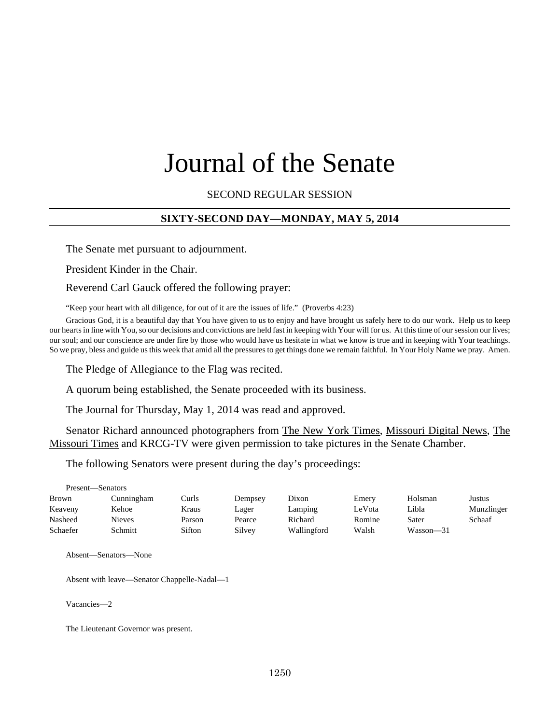# Journal of the Senate

SECOND REGULAR SESSION

## **SIXTY-SECOND DAY—MONDAY, MAY 5, 2014**

The Senate met pursuant to adjournment.

President Kinder in the Chair.

Reverend Carl Gauck offered the following prayer:

"Keep your heart with all diligence, for out of it are the issues of life." (Proverbs 4:23)

Gracious God, it is a beautiful day that You have given to us to enjoy and have brought us safely here to do our work. Help us to keep our hearts in line with You, so our decisions and convictions are held fast in keeping with Your will for us. At this time of our session our lives; our soul; and our conscience are under fire by those who would have us hesitate in what we know is true and in keeping with Your teachings. So we pray, bless and guide us this week that amid all the pressures to get things done we remain faithful. In Your Holy Name we pray. Amen.

The Pledge of Allegiance to the Flag was recited.

A quorum being established, the Senate proceeded with its business.

The Journal for Thursday, May 1, 2014 was read and approved.

Senator Richard announced photographers from The New York Times, Missouri Digital News, The Missouri Times and KRCG-TV were given permission to take pictures in the Senate Chamber.

The following Senators were present during the day's proceedings:

| Present—Senators |            |        |         |             |        |           |            |  |  |
|------------------|------------|--------|---------|-------------|--------|-----------|------------|--|--|
| Brown            | Cunningham | Curls  | Dempsey | Dixon       | Emery  | Holsman   | Justus     |  |  |
| Keaveny          | Kehoe      | Kraus  | Lager   | Lamping     | LeVota | Libla     | Munzlinger |  |  |
| Nasheed          | Nieves     | Parson | Pearce  | Richard     | Romine | Sater     | Schaaf     |  |  |
| Schaefer         | Schmitt    | Sifton | Silvey  | Wallingford | Walsh  | Wasson-31 |            |  |  |

Absent—Senators—None

Absent with leave—Senator Chappelle-Nadal—1

Vacancies—2

The Lieutenant Governor was present.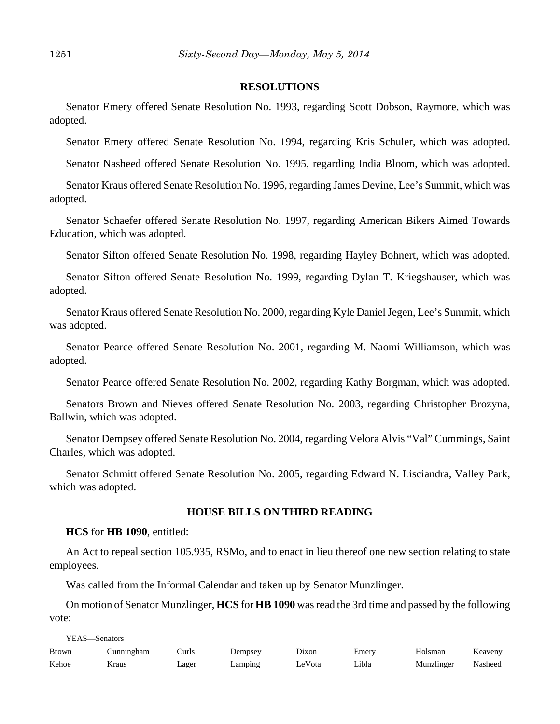#### **RESOLUTIONS**

Senator Emery offered Senate Resolution No. 1993, regarding Scott Dobson, Raymore, which was adopted.

Senator Emery offered Senate Resolution No. 1994, regarding Kris Schuler, which was adopted.

Senator Nasheed offered Senate Resolution No. 1995, regarding India Bloom, which was adopted.

Senator Kraus offered Senate Resolution No. 1996, regarding James Devine, Lee's Summit, which was adopted.

Senator Schaefer offered Senate Resolution No. 1997, regarding American Bikers Aimed Towards Education, which was adopted.

Senator Sifton offered Senate Resolution No. 1998, regarding Hayley Bohnert, which was adopted.

Senator Sifton offered Senate Resolution No. 1999, regarding Dylan T. Kriegshauser, which was adopted.

Senator Kraus offered Senate Resolution No. 2000, regarding Kyle Daniel Jegen, Lee's Summit, which was adopted.

Senator Pearce offered Senate Resolution No. 2001, regarding M. Naomi Williamson, which was adopted.

Senator Pearce offered Senate Resolution No. 2002, regarding Kathy Borgman, which was adopted.

Senators Brown and Nieves offered Senate Resolution No. 2003, regarding Christopher Brozyna, Ballwin, which was adopted.

Senator Dempsey offered Senate Resolution No. 2004, regarding Velora Alvis "Val" Cummings, Saint Charles, which was adopted.

Senator Schmitt offered Senate Resolution No. 2005, regarding Edward N. Lisciandra, Valley Park, which was adopted.

#### **HOUSE BILLS ON THIRD READING**

#### **HCS** for **HB 1090**, entitled:

An Act to repeal section 105.935, RSMo, and to enact in lieu thereof one new section relating to state employees.

Was called from the Informal Calendar and taken up by Senator Munzlinger.

On motion of Senator Munzlinger, **HCS** for **HB 1090** was read the 3rd time and passed by the following vote:

YEAS—Senators

| Brown | Cunningham | Curls | Dempsey    | Dixon  | Emerv | Holsman    | Keaveny |
|-------|------------|-------|------------|--------|-------|------------|---------|
| Kehoe | Kraus      | Lager | $L$ amping | LeVota | Libla | Munzlinger | Nasheed |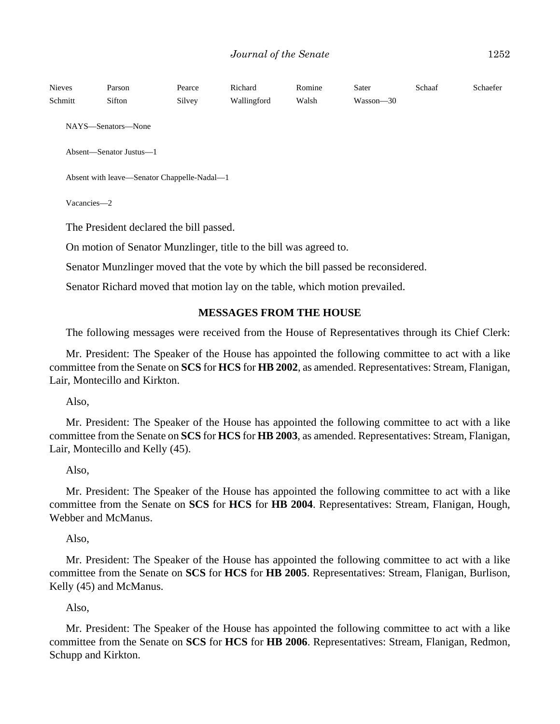| <b>Nieves</b><br>Schmitt | Parson<br>Sifton                            | Pearce<br>Silvey | Richard<br>Wallingford                                            | Romine<br>Walsh | Sater<br>Wasson—30 | Schaaf | Schaefer |  |  |
|--------------------------|---------------------------------------------|------------------|-------------------------------------------------------------------|-----------------|--------------------|--------|----------|--|--|
|                          | NAYS—Senators—None                          |                  |                                                                   |                 |                    |        |          |  |  |
|                          | Absent—Senator Justus—1                     |                  |                                                                   |                 |                    |        |          |  |  |
|                          | Absent with leave—Senator Chappelle-Nadal—1 |                  |                                                                   |                 |                    |        |          |  |  |
|                          | Vacancies-2                                 |                  |                                                                   |                 |                    |        |          |  |  |
|                          | The President declared the bill passed.     |                  |                                                                   |                 |                    |        |          |  |  |
|                          |                                             |                  | On motion of Senator Munzlinger, title to the bill was agreed to. |                 |                    |        |          |  |  |

Senator Munzlinger moved that the vote by which the bill passed be reconsidered.

Senator Richard moved that motion lay on the table, which motion prevailed.

#### **MESSAGES FROM THE HOUSE**

The following messages were received from the House of Representatives through its Chief Clerk:

Mr. President: The Speaker of the House has appointed the following committee to act with a like committee from the Senate on **SCS** for **HCS** for **HB 2002**, as amended. Representatives: Stream, Flanigan, Lair, Montecillo and Kirkton.

Also,

Mr. President: The Speaker of the House has appointed the following committee to act with a like committee from the Senate on **SCS** for **HCS** for **HB 2003**, as amended. Representatives: Stream, Flanigan, Lair, Montecillo and Kelly (45).

## Also,

Mr. President: The Speaker of the House has appointed the following committee to act with a like committee from the Senate on **SCS** for **HCS** for **HB 2004**. Representatives: Stream, Flanigan, Hough, Webber and McManus.

Also,

Mr. President: The Speaker of the House has appointed the following committee to act with a like committee from the Senate on **SCS** for **HCS** for **HB 2005**. Representatives: Stream, Flanigan, Burlison, Kelly (45) and McManus.

Also,

Mr. President: The Speaker of the House has appointed the following committee to act with a like committee from the Senate on **SCS** for **HCS** for **HB 2006**. Representatives: Stream, Flanigan, Redmon, Schupp and Kirkton.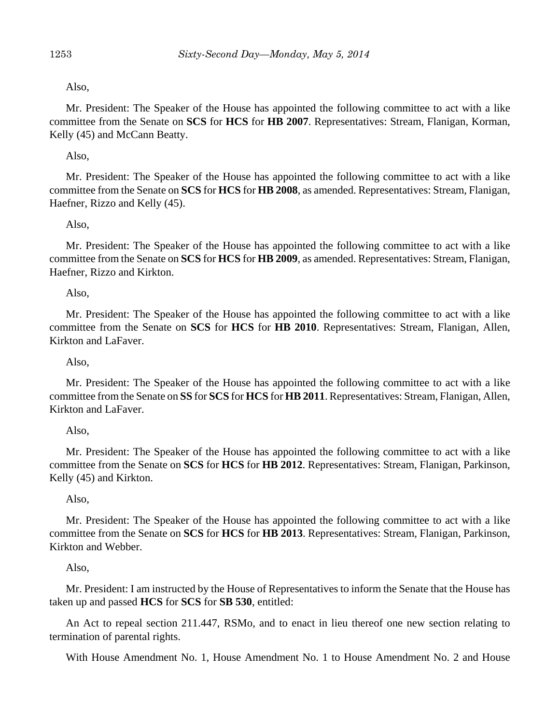# Also,

Mr. President: The Speaker of the House has appointed the following committee to act with a like committee from the Senate on **SCS** for **HCS** for **HB 2007**. Representatives: Stream, Flanigan, Korman, Kelly (45) and McCann Beatty.

# Also,

Mr. President: The Speaker of the House has appointed the following committee to act with a like committee from the Senate on **SCS** for **HCS** for **HB 2008**, as amended. Representatives: Stream, Flanigan, Haefner, Rizzo and Kelly (45).

# Also,

Mr. President: The Speaker of the House has appointed the following committee to act with a like committee from the Senate on **SCS** for **HCS** for **HB 2009**, as amended. Representatives: Stream, Flanigan, Haefner, Rizzo and Kirkton.

## Also,

Mr. President: The Speaker of the House has appointed the following committee to act with a like committee from the Senate on **SCS** for **HCS** for **HB 2010**. Representatives: Stream, Flanigan, Allen, Kirkton and LaFaver.

Also,

Mr. President: The Speaker of the House has appointed the following committee to act with a like committee from the Senate on **SS** for **SCS** for **HCS** for **HB 2011**. Representatives: Stream, Flanigan, Allen, Kirkton and LaFaver.

## Also,

Mr. President: The Speaker of the House has appointed the following committee to act with a like committee from the Senate on **SCS** for **HCS** for **HB 2012**. Representatives: Stream, Flanigan, Parkinson, Kelly (45) and Kirkton.

# Also,

Mr. President: The Speaker of the House has appointed the following committee to act with a like committee from the Senate on **SCS** for **HCS** for **HB 2013**. Representatives: Stream, Flanigan, Parkinson, Kirkton and Webber.

## Also,

Mr. President: I am instructed by the House of Representatives to inform the Senate that the House has taken up and passed **HCS** for **SCS** for **SB 530**, entitled:

An Act to repeal section 211.447, RSMo, and to enact in lieu thereof one new section relating to termination of parental rights.

With House Amendment No. 1, House Amendment No. 1 to House Amendment No. 2 and House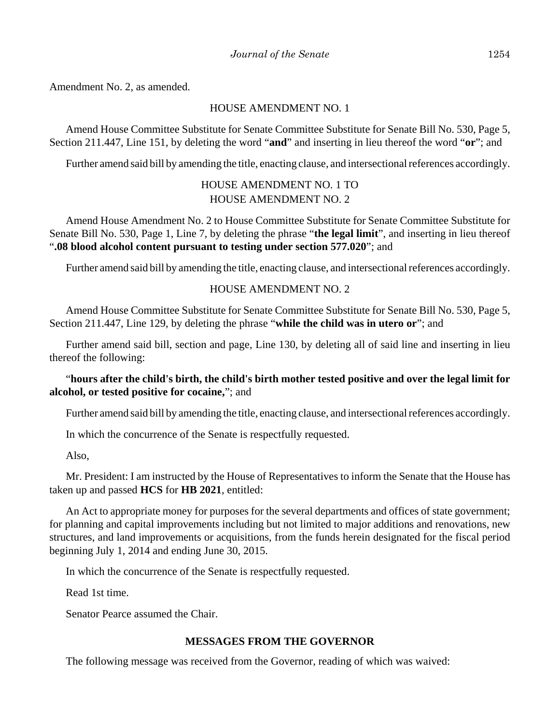Amendment No. 2, as amended.

#### HOUSE AMENDMENT NO. 1

Amend House Committee Substitute for Senate Committee Substitute for Senate Bill No. 530, Page 5, Section 211.447, Line 151, by deleting the word "**and**" and inserting in lieu thereof the word "**or**"; and

Further amend said bill by amending the title, enacting clause, and intersectional references accordingly.

# HOUSE AMENDMENT NO. 1 TO HOUSE AMENDMENT NO. 2

Amend House Amendment No. 2 to House Committee Substitute for Senate Committee Substitute for Senate Bill No. 530, Page 1, Line 7, by deleting the phrase "**the legal limit**", and inserting in lieu thereof "**.08 blood alcohol content pursuant to testing under section 577.020**"; and

Further amend said bill by amending the title, enacting clause, and intersectional references accordingly.

# HOUSE AMENDMENT NO. 2

Amend House Committee Substitute for Senate Committee Substitute for Senate Bill No. 530, Page 5, Section 211.447, Line 129, by deleting the phrase "**while the child was in utero or**"; and

Further amend said bill, section and page, Line 130, by deleting all of said line and inserting in lieu thereof the following:

## "**hours after the child's birth, the child's birth mother tested positive and over the legal limit for alcohol, or tested positive for cocaine,**"; and

Further amend said bill by amending the title, enacting clause, and intersectional references accordingly.

In which the concurrence of the Senate is respectfully requested.

Also,

Mr. President: I am instructed by the House of Representatives to inform the Senate that the House has taken up and passed **HCS** for **HB 2021**, entitled:

An Act to appropriate money for purposes for the several departments and offices of state government; for planning and capital improvements including but not limited to major additions and renovations, new structures, and land improvements or acquisitions, from the funds herein designated for the fiscal period beginning July 1, 2014 and ending June 30, 2015.

In which the concurrence of the Senate is respectfully requested.

Read 1st time.

Senator Pearce assumed the Chair.

#### **MESSAGES FROM THE GOVERNOR**

The following message was received from the Governor, reading of which was waived: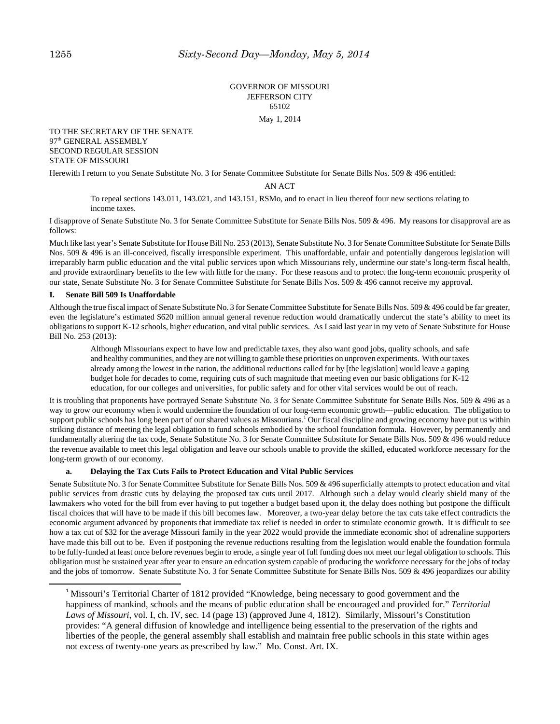#### GOVERNOR OF MISSOURI JEFFERSON CITY 65102

#### May 1, 2014

#### TO THE SECRETARY OF THE SENATE 97<sup>th</sup> GENERAL ASSEMBLY SECOND REGULAR SESSION STATE OF MISSOURI

Herewith I return to you Senate Substitute No. 3 for Senate Committee Substitute for Senate Bills Nos. 509 & 496 entitled:

#### AN ACT

To repeal sections 143.011, 143.021, and 143.151, RSMo, and to enact in lieu thereof four new sections relating to income taxes.

I disapprove of Senate Substitute No. 3 for Senate Committee Substitute for Senate Bills Nos. 509 & 496. My reasons for disapproval are as follows:

Much like last year's Senate Substitute for House Bill No. 253 (2013), Senate Substitute No. 3 for Senate Committee Substitute for Senate Bills Nos. 509 & 496 is an ill-conceived, fiscally irresponsible experiment. This unaffordable, unfair and potentially dangerous legislation will irreparably harm public education and the vital public services upon which Missourians rely, undermine our state's long-term fiscal health, and provide extraordinary benefits to the few with little for the many. For these reasons and to protect the long-term economic prosperity of our state, Senate Substitute No. 3 for Senate Committee Substitute for Senate Bills Nos. 509 & 496 cannot receive my approval.

#### **I. Senate Bill 509 Is Unaffordable**

Although the true fiscal impact of Senate Substitute No. 3 for Senate Committee Substitute for Senate Bills Nos. 509 & 496 could be far greater, even the legislature's estimated \$620 million annual general revenue reduction would dramatically undercut the state's ability to meet its obligations to support K-12 schools, higher education, and vital public services. As I said last year in my veto of Senate Substitute for House Bill No. 253 (2013):

Although Missourians expect to have low and predictable taxes, they also want good jobs, quality schools, and safe and healthy communities, and they are not willing to gamble these priorities on unproven experiments. With our taxes already among the lowest in the nation, the additional reductions called for by [the legislation] would leave a gaping budget hole for decades to come, requiring cuts of such magnitude that meeting even our basic obligations for K-12 education, for our colleges and universities, for public safety and for other vital services would be out of reach.

It is troubling that proponents have portrayed Senate Substitute No. 3 for Senate Committee Substitute for Senate Bills Nos. 509 & 496 as a way to grow our economy when it would undermine the foundation of our long-term economic growth—public education. The obligation to support public schools has long been part of our shared values as Missourians.<sup>1</sup> Our fiscal discipline and growing economy have put us within striking distance of meeting the legal obligation to fund schools embodied by the school foundation formula. However, by permanently and fundamentally altering the tax code, Senate Substitute No. 3 for Senate Committee Substitute for Senate Bills Nos. 509 & 496 would reduce the revenue available to meet this legal obligation and leave our schools unable to provide the skilled, educated workforce necessary for the long-term growth of our economy.

#### **a. Delaying the Tax Cuts Fails to Protect Education and Vital Public Services**

Senate Substitute No. 3 for Senate Committee Substitute for Senate Bills Nos. 509 & 496 superficially attempts to protect education and vital public services from drastic cuts by delaying the proposed tax cuts until 2017. Although such a delay would clearly shield many of the lawmakers who voted for the bill from ever having to put together a budget based upon it, the delay does nothing but postpone the difficult fiscal choices that will have to be made if this bill becomes law. Moreover, a two-year delay before the tax cuts take effect contradicts the economic argument advanced by proponents that immediate tax relief is needed in order to stimulate economic growth. It is difficult to see how a tax cut of \$32 for the average Missouri family in the year 2022 would provide the immediate economic shot of adrenaline supporters have made this bill out to be. Even if postponing the revenue reductions resulting from the legislation would enable the foundation formula to be fully-funded at least once before revenues begin to erode, a single year of full funding does not meet our legal obligation to schools. This obligation must be sustained year after year to ensure an education system capable of producing the workforce necessary for the jobs of today and the jobs of tomorrow. Senate Substitute No. 3 for Senate Committee Substitute for Senate Bills Nos. 509 & 496 jeopardizes our ability

<sup>&</sup>lt;sup>1</sup> Missouri's Territorial Charter of 1812 provided "Knowledge, being necessary to good government and the happiness of mankind, schools and the means of public education shall be encouraged and provided for." *Territorial Laws of Missouri*, vol. I, ch. IV, sec. 14 (page 13) (approved June 4, 1812). Similarly, Missouri's Constitution provides: "A general diffusion of knowledge and intelligence being essential to the preservation of the rights and liberties of the people, the general assembly shall establish and maintain free public schools in this state within ages not excess of twenty-one years as prescribed by law." Mo. Const. Art. IX.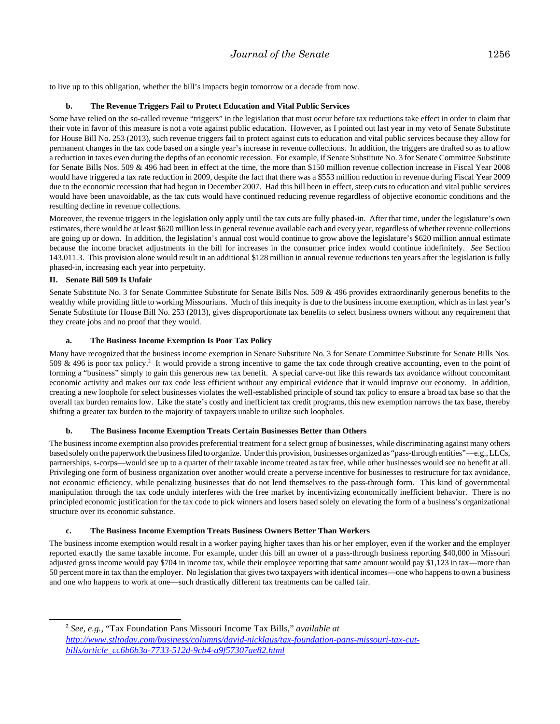to live up to this obligation, whether the bill's impacts begin tomorrow or a decade from now.

#### **b. The Revenue Triggers Fail to Protect Education and Vital Public Services**

Some have relied on the so-called revenue "triggers" in the legislation that must occur before tax reductions take effect in order to claim that their vote in favor of this measure is not a vote against public education. However, as I pointed out last year in my veto of Senate Substitute for House Bill No. 253 (2013), such revenue triggers fail to protect against cuts to education and vital public services because they allow for permanent changes in the tax code based on a single year's increase in revenue collections. In addition, the triggers are drafted so as to allow a reduction in taxes even during the depths of an economic recession. For example, if Senate Substitute No. 3 for Senate Committee Substitute for Senate Bills Nos. 509 & 496 had been in effect at the time, the more than \$150 million revenue collection increase in Fiscal Year 2008 would have triggered a tax rate reduction in 2009, despite the fact that there was a \$553 million reduction in revenue during Fiscal Year 2009 due to the economic recession that had begun in December 2007. Had this bill been in effect, steep cuts to education and vital public services would have been unavoidable, as the tax cuts would have continued reducing revenue regardless of objective economic conditions and the resulting decline in revenue collections.

Moreover, the revenue triggers in the legislation only apply until the tax cuts are fully phased-in. After that time, under the legislature's own estimates, there would be at least \$620 million less in general revenue available each and every year, regardless of whether revenue collections are going up or down. In addition, the legislation's annual cost would continue to grow above the legislature's \$620 million annual estimate because the income bracket adjustments in the bill for increases in the consumer price index would continue indefinitely. *See* Section 143.011.3. This provision alone would result in an additional \$128 million in annual revenue reductions ten years after the legislation is fully phased-in, increasing each year into perpetuity.

#### **II. Senate Bill 509 Is Unfair**

Senate Substitute No. 3 for Senate Committee Substitute for Senate Bills Nos. 509 & 496 provides extraordinarily generous benefits to the wealthy while providing little to working Missourians. Much of this inequity is due to the business income exemption, which as in last year's Senate Substitute for House Bill No. 253 (2013), gives disproportionate tax benefits to select business owners without any requirement that they create jobs and no proof that they would.

#### **a. The Business Income Exemption Is Poor Tax Policy**

Many have recognized that the business income exemption in Senate Substitute No. 3 for Senate Committee Substitute for Senate Bills Nos. 509 & 496 is poor tax policy.<sup>2</sup> It would provide a strong incentive to game the tax code through creative accounting, even to the point of forming a "business" simply to gain this generous new tax benefit. A special carve-out like this rewards tax avoidance without concomitant economic activity and makes our tax code less efficient without any empirical evidence that it would improve our economy. In addition, creating a new loophole for select businesses violates the well-established principle of sound tax policy to ensure a broad tax base so that the overall tax burden remains low. Like the state's costly and inefficient tax credit programs, this new exemption narrows the tax base, thereby shifting a greater tax burden to the majority of taxpayers unable to utilize such loopholes.

#### **b. The Business Income Exemption Treats Certain Businesses Better than Others**

The business income exemption also provides preferential treatment for a select group of businesses, while discriminating against many others based solely on the paperwork the business filed to organize. Under this provision, businesses organized as "pass-through entities"—e.g., LLCs, partnerships, s-corps—would see up to a quarter of their taxable income treated as tax free, while other businesses would see no benefit at all. Privileging one form of business organization over another would create a perverse incentive for businesses to restructure for tax avoidance, not economic efficiency, while penalizing businesses that do not lend themselves to the pass-through form. This kind of governmental manipulation through the tax code unduly interferes with the free market by incentivizing economically inefficient behavior. There is no principled economic justification for the tax code to pick winners and losers based solely on elevating the form of a business's organizational structure over its economic substance.

#### **c. The Business Income Exemption Treats Business Owners Better Than Workers**

The business income exemption would result in a worker paying higher taxes than his or her employer, even if the worker and the employer reported exactly the same taxable income. For example, under this bill an owner of a pass-through business reporting \$40,000 in Missouri adjusted gross income would pay \$704 in income tax, while their employee reporting that same amount would pay \$1,123 in tax—more than 50 percent more in tax than the employer. No legislation that gives two taxpayers with identical incomes—one who happens to own a business and one who happens to work at one—such drastically different tax treatments can be called fair.

<sup>2</sup> *See, e.g.,* "Tax Foundation Pans Missouri Income Tax Bills," *available at http://www.stltoday.com/business/columns/david-nicklaus/tax-foundation-pans-missouri-tax-cutbills/article\_cc6b6b3a-7733-512d-9cb4-a9f57307ae82.html*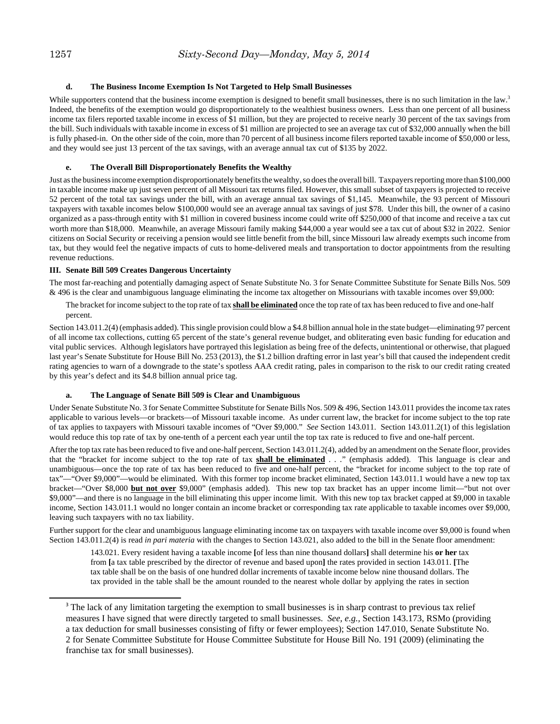#### **d. The Business Income Exemption Is Not Targeted to Help Small Businesses**

While supporters contend that the business income exemption is designed to benefit small businesses, there is no such limitation in the law.<sup>3</sup> Indeed, the benefits of the exemption would go disproportionately to the wealthiest business owners. Less than one percent of all business income tax filers reported taxable income in excess of \$1 million, but they are projected to receive nearly 30 percent of the tax savings from the bill. Such individuals with taxable income in excess of \$1 million are projected to see an average tax cut of \$32,000 annually when the bill is fully phased-in. On the other side of the coin, more than 70 percent of all business income filers reported taxable income of \$50,000 or less, and they would see just 13 percent of the tax savings, with an average annual tax cut of \$135 by 2022.

#### **e. The Overall Bill Disproportionately Benefits the Wealthy**

Just as the business income exemption disproportionately benefits the wealthy, so does the overall bill. Taxpayers reporting more than \$100,000 in taxable income make up just seven percent of all Missouri tax returns filed. However, this small subset of taxpayers is projected to receive 52 percent of the total tax savings under the bill, with an average annual tax savings of \$1,145. Meanwhile, the 93 percent of Missouri taxpayers with taxable incomes below \$100,000 would see an average annual tax savings of just \$78. Under this bill, the owner of a casino organized as a pass-through entity with \$1 million in covered business income could write off \$250,000 of that income and receive a tax cut worth more than \$18,000. Meanwhile, an average Missouri family making \$44,000 a year would see a tax cut of about \$32 in 2022. Senior citizens on Social Security or receiving a pension would see little benefit from the bill, since Missouri law already exempts such income from tax, but they would feel the negative impacts of cuts to home-delivered meals and transportation to doctor appointments from the resulting revenue reductions.

#### **III. Senate Bill 509 Creates Dangerous Uncertainty**

The most far-reaching and potentially damaging aspect of Senate Substitute No. 3 for Senate Committee Substitute for Senate Bills Nos. 509 & 496 is the clear and unambiguous language eliminating the income tax altogether on Missourians with taxable incomes over \$9,000:

The bracket for income subject to the top rate of tax **shall be eliminated** once the top rate of tax has been reduced to five and one-half percent.

Section 143.011.2(4) (emphasis added). This single provision could blow a \$4.8 billion annual hole in the state budget—eliminating 97 percent of all income tax collections, cutting 65 percent of the state's general revenue budget, and obliterating even basic funding for education and vital public services. Although legislators have portrayed this legislation as being free of the defects, unintentional or otherwise, that plagued last year's Senate Substitute for House Bill No. 253 (2013), the \$1.2 billion drafting error in last year's bill that caused the independent credit rating agencies to warn of a downgrade to the state's spotless AAA credit rating, pales in comparison to the risk to our credit rating created by this year's defect and its \$4.8 billion annual price tag.

#### **a. The Language of Senate Bill 509 is Clear and Unambiguous**

Under Senate Substitute No. 3 for Senate Committee Substitute for Senate Bills Nos. 509 & 496, Section 143.011 provides the income tax rates applicable to various levels—or brackets—of Missouri taxable income. As under current law, the bracket for income subject to the top rate of tax applies to taxpayers with Missouri taxable incomes of "Over \$9,000." *See* Section 143.011. Section 143.011.2(1) of this legislation would reduce this top rate of tax by one-tenth of a percent each year until the top tax rate is reduced to five and one-half percent.

After the top tax rate has been reduced to five and one-half percent, Section 143.011.2(4), added by an amendment on the Senate floor, provides that the "bracket for income subject to the top rate of tax **shall be eliminated** . . ." (emphasis added). This language is clear and unambiguous—once the top rate of tax has been reduced to five and one-half percent, the "bracket for income subject to the top rate of tax"—"Over \$9,000"—would be eliminated. With this former top income bracket eliminated, Section 143.011.1 would have a new top tax bracket—"Over \$8,000 **but not over** \$9,000" (emphasis added). This new top tax bracket has an upper income limit—"but not over \$9,000"—and there is no language in the bill eliminating this upper income limit. With this new top tax bracket capped at \$9,000 in taxable income, Section 143.011.1 would no longer contain an income bracket or corresponding tax rate applicable to taxable incomes over \$9,000, leaving such taxpayers with no tax liability.

Further support for the clear and unambiguous language eliminating income tax on taxpayers with taxable income over \$9,000 is found when Section 143.011.2(4) is read *in pari materia* with the changes to Section 143.021, also added to the bill in the Senate floor amendment:

143.021. Every resident having a taxable income **[**of less than nine thousand dollars**]** shall determine his **or her** tax from **[**a tax table prescribed by the director of revenue and based upon**]** the rates provided in section 143.011. **[**The tax table shall be on the basis of one hundred dollar increments of taxable income below nine thousand dollars. The tax provided in the table shall be the amount rounded to the nearest whole dollar by applying the rates in section

<sup>&</sup>lt;sup>3</sup> The lack of any limitation targeting the exemption to small businesses is in sharp contrast to previous tax relief measures I have signed that were directly targeted to small businesses. *See, e.g.,* Section 143.173, RSMo (providing a tax deduction for small businesses consisting of fifty or fewer employees); Section 147.010, Senate Substitute No. 2 for Senate Committee Substitute for House Committee Substitute for House Bill No. 191 (2009) (eliminating the franchise tax for small businesses).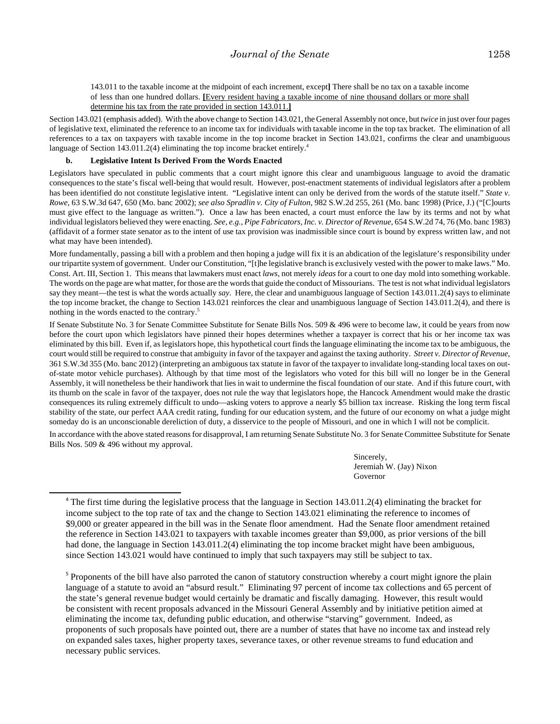143.011 to the taxable income at the midpoint of each increment, except**]** There shall be no tax on a taxable income of less than one hundred dollars. **[**Every resident having a taxable income of nine thousand dollars or more shall determine his tax from the rate provided in section 143.011.**]**

Section 143.021 (emphasis added). With the above change to Section 143.021, the General Assembly not once, but *twice* in just over four pages of legislative text, eliminated the reference to an income tax for individuals with taxable income in the top tax bracket. The elimination of all references to a tax on taxpayers with taxable income in the top income bracket in Section 143.021, confirms the clear and unambiguous language of Section 143.011.2(4) eliminating the top income bracket entirely.<sup>4</sup>

#### **b. Legislative Intent Is Derived From the Words Enacted**

Legislators have speculated in public comments that a court might ignore this clear and unambiguous language to avoid the dramatic consequences to the state's fiscal well-being that would result. However, post-enactment statements of individual legislators after a problem has been identified do not constitute legislative intent. "Legislative intent can only be derived from the words of the statute itself." *State v. Rowe*, 63 S.W.3d 647, 650 (Mo. banc 2002); *see also Spradlin v. City of Fulton*, 982 S.W.2d 255, 261 (Mo. banc 1998) (Price, J.) ("[C]ourts must give effect to the language as written."). Once a law has been enacted, a court must enforce the law by its terms and not by what individual legislators believed they were enacting. *See, e.g., Pipe Fabricators, Inc. v. Director of Revenue,* 654 S.W.2d 74, 76 (Mo. banc 1983) (affidavit of a former state senator as to the intent of use tax provision was inadmissible since court is bound by express written law, and not what may have been intended).

More fundamentally, passing a bill with a problem and then hoping a judge will fix it is an abdication of the legislature's responsibility under our tripartite system of government. Under our Constitution, "[t]he legislative branch is exclusively vested with the power to make laws." Mo. Const. Art. III, Section 1. This means that lawmakers must enact *laws*, not merely *ideas* for a court to one day mold into something workable. The words on the page are what matter, for those are the words that guide the conduct of Missourians. The test is not what individual legislators say they meant—the test is what the words actually *say*. Here, the clear and unambiguous language of Section 143.011.2(4) says to eliminate the top income bracket, the change to Section 143.021 reinforces the clear and unambiguous language of Section 143.011.2(4), and there is nothing in the words enacted to the contrary.5

If Senate Substitute No. 3 for Senate Committee Substitute for Senate Bills Nos. 509 & 496 were to become law, it could be years from now before the court upon which legislators have pinned their hopes determines whether a taxpayer is correct that his or her income tax was eliminated by this bill. Even if, as legislators hope, this hypothetical court finds the language eliminating the income tax to be ambiguous, the court would still be required to construe that ambiguity in favor of the taxpayer and against the taxing authority. *Street v. Director of Revenue*, 361 S.W.3d 355 (Mo. banc 2012) (interpreting an ambiguous tax statute in favor of the taxpayer to invalidate long-standing local taxes on outof-state motor vehicle purchases). Although by that time most of the legislators who voted for this bill will no longer be in the General Assembly, it will nonetheless be their handiwork that lies in wait to undermine the fiscal foundation of our state. And if this future court, with its thumb on the scale in favor of the taxpayer, does not rule the way that legislators hope, the Hancock Amendment would make the drastic consequences its ruling extremely difficult to undo—asking voters to approve a nearly \$5 billion tax increase. Risking the long term fiscal stability of the state, our perfect AAA credit rating, funding for our education system, and the future of our economy on what a judge might someday do is an unconscionable dereliction of duty, a disservice to the people of Missouri, and one in which I will not be complicit.

In accordance with the above stated reasons for disapproval, I am returning Senate Substitute No. 3 for Senate Committee Substitute for Senate Bills Nos. 509 & 496 without my approval.

> Sincerely, Jeremiah W. (Jay) Nixon Governor

<sup>&</sup>lt;sup>4</sup> The first time during the legislative process that the language in Section 143.011.2(4) eliminating the bracket for income subject to the top rate of tax and the change to Section 143.021 eliminating the reference to incomes of \$9,000 or greater appeared in the bill was in the Senate floor amendment. Had the Senate floor amendment retained the reference in Section 143.021 to taxpayers with taxable incomes greater than \$9,000, as prior versions of the bill had done, the language in Section 143.011.2(4) eliminating the top income bracket might have been ambiguous, since Section 143.021 would have continued to imply that such taxpayers may still be subject to tax.

<sup>&</sup>lt;sup>5</sup> Proponents of the bill have also parroted the canon of statutory construction whereby a court might ignore the plain language of a statute to avoid an "absurd result." Eliminating 97 percent of income tax collections and 65 percent of the state's general revenue budget would certainly be dramatic and fiscally damaging. However, this result would be consistent with recent proposals advanced in the Missouri General Assembly and by initiative petition aimed at eliminating the income tax, defunding public education, and otherwise "starving" government. Indeed, as proponents of such proposals have pointed out, there are a number of states that have no income tax and instead rely on expanded sales taxes, higher property taxes, severance taxes, or other revenue streams to fund education and necessary public services.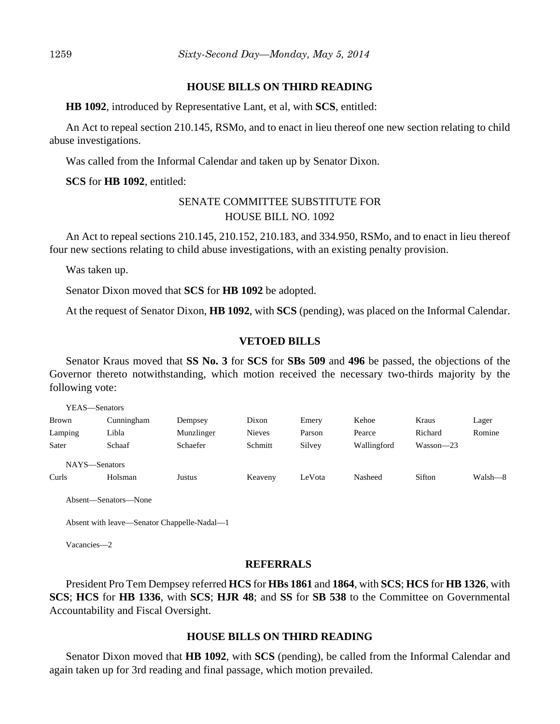#### **HOUSE BILLS ON THIRD READING**

**HB 1092**, introduced by Representative Lant, et al, with **SCS**, entitled:

An Act to repeal section 210.145, RSMo, and to enact in lieu thereof one new section relating to child abuse investigations.

Was called from the Informal Calendar and taken up by Senator Dixon.

**SCS** for **HB 1092**, entitled:

# SENATE COMMITTEE SUBSTITUTE FOR HOUSE BILL NO. 1092

An Act to repeal sections 210.145, 210.152, 210.183, and 334.950, RSMo, and to enact in lieu thereof four new sections relating to child abuse investigations, with an existing penalty provision.

Was taken up.

Senator Dixon moved that **SCS** for **HB 1092** be adopted.

At the request of Senator Dixon, **HB 1092**, with **SCS** (pending), was placed on the Informal Calendar.

#### **VETOED BILLS**

Senator Kraus moved that **SS No. 3** for **SCS** for **SBs 509** and **496** be passed, the objections of the Governor thereto notwithstanding, which motion received the necessary two-thirds majority by the following vote:

|               | YEAS—Senators |                 |               |        |             |           |         |
|---------------|---------------|-----------------|---------------|--------|-------------|-----------|---------|
| <b>Brown</b>  | Cunningham    | Dempsey         | Dixon         | Emery  | Kehoe       | Kraus     | Lager   |
| Lamping       | Libla         | Munzlinger      | <b>Nieves</b> | Parson | Pearce      | Richard   | Romine  |
| Sater         | Schaaf        | <b>Schaefer</b> | Schmitt       | Silvey | Wallingford | Wasson-23 |         |
| NAYS-Senators |               |                 |               |        |             |           |         |
| Curls         | Holsman       | Justus          | Keaveny       | LeVota | Nasheed     | Sifton    | Walsh-8 |
|               |               |                 |               |        |             |           |         |

Absent—Senators—None

Absent with leave—Senator Chappelle-Nadal—1

Vacancies—2

YEAS—Senators

### **REFERRALS**

President Pro Tem Dempsey referred **HCS** for **HBs 1861** and **1864**, with **SCS**; **HCS** for **HB 1326**, with **SCS**; **HCS** for **HB 1336**, with **SCS**; **HJR 48**; and **SS** for **SB 538** to the Committee on Governmental Accountability and Fiscal Oversight.

#### **HOUSE BILLS ON THIRD READING**

Senator Dixon moved that **HB 1092**, with **SCS** (pending), be called from the Informal Calendar and again taken up for 3rd reading and final passage, which motion prevailed.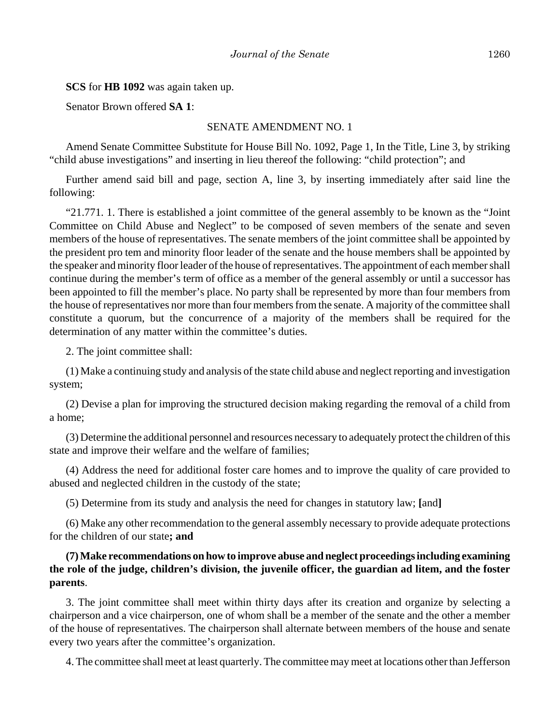#### **SCS** for **HB 1092** was again taken up.

Senator Brown offered **SA 1**:

## SENATE AMENDMENT NO. 1

Amend Senate Committee Substitute for House Bill No. 1092, Page 1, In the Title, Line 3, by striking "child abuse investigations" and inserting in lieu thereof the following: "child protection"; and

Further amend said bill and page, section A, line 3, by inserting immediately after said line the following:

"21.771. 1. There is established a joint committee of the general assembly to be known as the "Joint Committee on Child Abuse and Neglect" to be composed of seven members of the senate and seven members of the house of representatives. The senate members of the joint committee shall be appointed by the president pro tem and minority floor leader of the senate and the house members shall be appointed by the speaker and minority floor leader of the house of representatives. The appointment of each member shall continue during the member's term of office as a member of the general assembly or until a successor has been appointed to fill the member's place. No party shall be represented by more than four members from the house of representatives nor more than four members from the senate. A majority of the committee shall constitute a quorum, but the concurrence of a majority of the members shall be required for the determination of any matter within the committee's duties.

2. The joint committee shall:

(1) Make a continuing study and analysis of the state child abuse and neglect reporting and investigation system;

(2) Devise a plan for improving the structured decision making regarding the removal of a child from a home;

(3) Determine the additional personnel and resources necessary to adequately protect the children of this state and improve their welfare and the welfare of families;

(4) Address the need for additional foster care homes and to improve the quality of care provided to abused and neglected children in the custody of the state;

(5) Determine from its study and analysis the need for changes in statutory law; **[**and**]**

(6) Make any other recommendation to the general assembly necessary to provide adequate protections for the children of our state**; and**

# **(7) Make recommendations on how to improve abuse and neglect proceedings including examining the role of the judge, children's division, the juvenile officer, the guardian ad litem, and the foster parents**.

3. The joint committee shall meet within thirty days after its creation and organize by selecting a chairperson and a vice chairperson, one of whom shall be a member of the senate and the other a member of the house of representatives. The chairperson shall alternate between members of the house and senate every two years after the committee's organization.

4. The committee shall meet at least quarterly. The committee may meet at locations other than Jefferson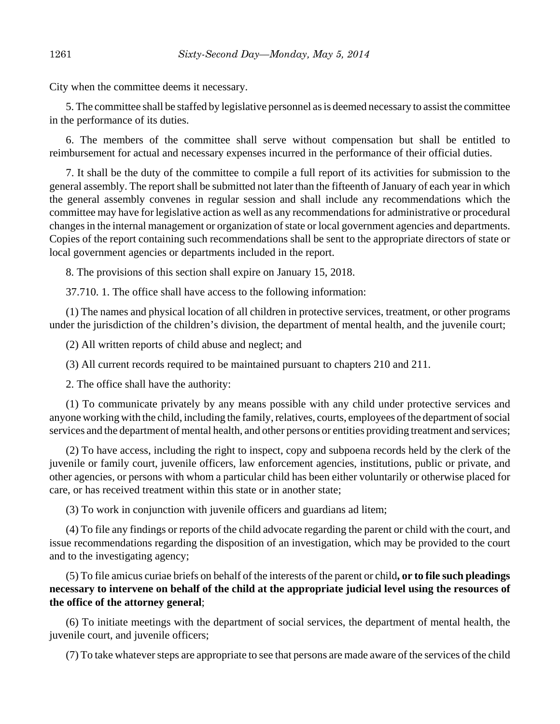City when the committee deems it necessary.

5. The committee shall be staffed by legislative personnel as is deemed necessary to assist the committee in the performance of its duties.

6. The members of the committee shall serve without compensation but shall be entitled to reimbursement for actual and necessary expenses incurred in the performance of their official duties.

7. It shall be the duty of the committee to compile a full report of its activities for submission to the general assembly. The report shall be submitted not later than the fifteenth of January of each year in which the general assembly convenes in regular session and shall include any recommendations which the committee may have for legislative action as well as any recommendations for administrative or procedural changes in the internal management or organization of state or local government agencies and departments. Copies of the report containing such recommendations shall be sent to the appropriate directors of state or local government agencies or departments included in the report.

8. The provisions of this section shall expire on January 15, 2018.

37.710. 1. The office shall have access to the following information:

(1) The names and physical location of all children in protective services, treatment, or other programs under the jurisdiction of the children's division, the department of mental health, and the juvenile court;

(2) All written reports of child abuse and neglect; and

(3) All current records required to be maintained pursuant to chapters 210 and 211.

2. The office shall have the authority:

(1) To communicate privately by any means possible with any child under protective services and anyone working with the child, including the family, relatives, courts, employees of the department of social services and the department of mental health, and other persons or entities providing treatment and services;

(2) To have access, including the right to inspect, copy and subpoena records held by the clerk of the juvenile or family court, juvenile officers, law enforcement agencies, institutions, public or private, and other agencies, or persons with whom a particular child has been either voluntarily or otherwise placed for care, or has received treatment within this state or in another state;

(3) To work in conjunction with juvenile officers and guardians ad litem;

(4) To file any findings or reports of the child advocate regarding the parent or child with the court, and issue recommendations regarding the disposition of an investigation, which may be provided to the court and to the investigating agency;

(5) To file amicus curiae briefs on behalf of the interests of the parent or child**, or to file such pleadings necessary to intervene on behalf of the child at the appropriate judicial level using the resources of the office of the attorney general**;

(6) To initiate meetings with the department of social services, the department of mental health, the juvenile court, and juvenile officers;

(7) To take whatever steps are appropriate to see that persons are made aware of the services of the child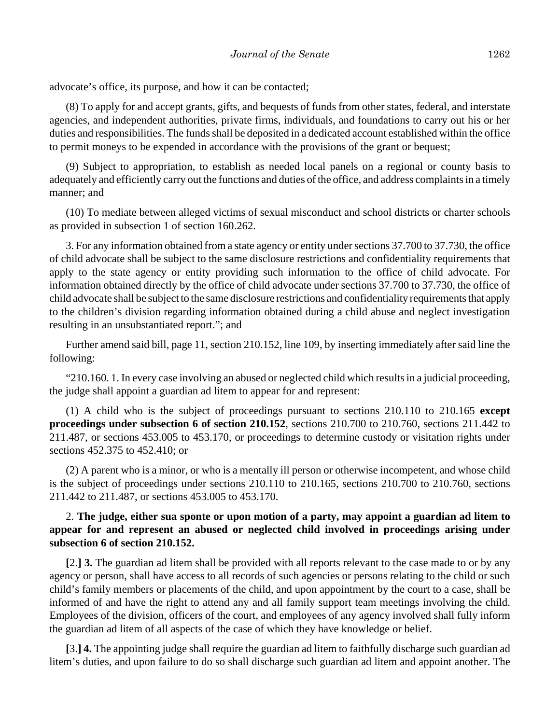advocate's office, its purpose, and how it can be contacted;

(8) To apply for and accept grants, gifts, and bequests of funds from other states, federal, and interstate agencies, and independent authorities, private firms, individuals, and foundations to carry out his or her duties and responsibilities. The funds shall be deposited in a dedicated account established within the office to permit moneys to be expended in accordance with the provisions of the grant or bequest;

(9) Subject to appropriation, to establish as needed local panels on a regional or county basis to adequately and efficiently carry out the functions and duties of the office, and address complaints in a timely manner; and

(10) To mediate between alleged victims of sexual misconduct and school districts or charter schools as provided in subsection 1 of section 160.262.

3. For any information obtained from a state agency or entity under sections 37.700 to 37.730, the office of child advocate shall be subject to the same disclosure restrictions and confidentiality requirements that apply to the state agency or entity providing such information to the office of child advocate. For information obtained directly by the office of child advocate under sections 37.700 to 37.730, the office of child advocate shall be subject to the same disclosure restrictions and confidentiality requirements that apply to the children's division regarding information obtained during a child abuse and neglect investigation resulting in an unsubstantiated report."; and

Further amend said bill, page 11, section 210.152, line 109, by inserting immediately after said line the following:

"210.160. 1. In every case involving an abused or neglected child which results in a judicial proceeding, the judge shall appoint a guardian ad litem to appear for and represent:

(1) A child who is the subject of proceedings pursuant to sections 210.110 to 210.165 **except proceedings under subsection 6 of section 210.152**, sections 210.700 to 210.760, sections 211.442 to 211.487, or sections 453.005 to 453.170, or proceedings to determine custody or visitation rights under sections 452.375 to 452.410; or

(2) A parent who is a minor, or who is a mentally ill person or otherwise incompetent, and whose child is the subject of proceedings under sections 210.110 to 210.165, sections 210.700 to 210.760, sections 211.442 to 211.487, or sections 453.005 to 453.170.

# 2. **The judge, either sua sponte or upon motion of a party, may appoint a guardian ad litem to appear for and represent an abused or neglected child involved in proceedings arising under subsection 6 of section 210.152.**

**[**2.**] 3.** The guardian ad litem shall be provided with all reports relevant to the case made to or by any agency or person, shall have access to all records of such agencies or persons relating to the child or such child's family members or placements of the child, and upon appointment by the court to a case, shall be informed of and have the right to attend any and all family support team meetings involving the child. Employees of the division, officers of the court, and employees of any agency involved shall fully inform the guardian ad litem of all aspects of the case of which they have knowledge or belief.

**[**3.**] 4.** The appointing judge shall require the guardian ad litem to faithfully discharge such guardian ad litem's duties, and upon failure to do so shall discharge such guardian ad litem and appoint another. The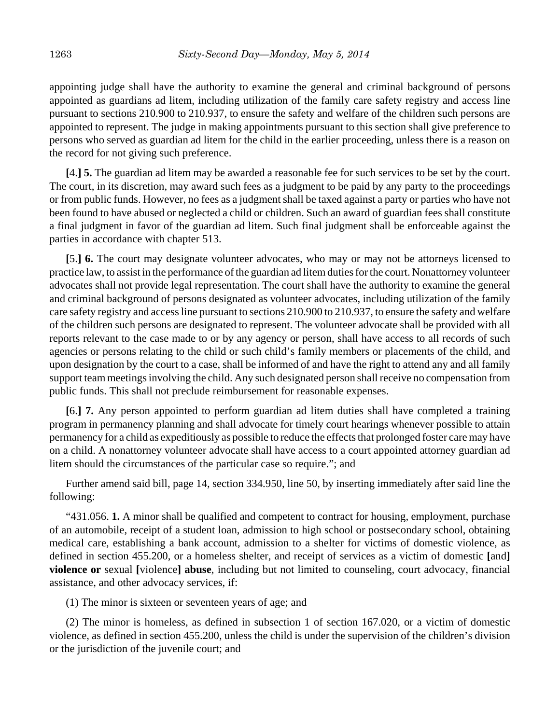appointing judge shall have the authority to examine the general and criminal background of persons appointed as guardians ad litem, including utilization of the family care safety registry and access line pursuant to sections 210.900 to 210.937, to ensure the safety and welfare of the children such persons are appointed to represent. The judge in making appointments pursuant to this section shall give preference to persons who served as guardian ad litem for the child in the earlier proceeding, unless there is a reason on the record for not giving such preference.

**[**4.**] 5.** The guardian ad litem may be awarded a reasonable fee for such services to be set by the court. The court, in its discretion, may award such fees as a judgment to be paid by any party to the proceedings or from public funds. However, no fees as a judgment shall be taxed against a party or parties who have not been found to have abused or neglected a child or children. Such an award of guardian fees shall constitute a final judgment in favor of the guardian ad litem. Such final judgment shall be enforceable against the parties in accordance with chapter 513.

**[**5.**] 6.** The court may designate volunteer advocates, who may or may not be attorneys licensed to practice law, to assist in the performance of the guardian ad litem duties for the court. Nonattorney volunteer advocates shall not provide legal representation. The court shall have the authority to examine the general and criminal background of persons designated as volunteer advocates, including utilization of the family care safety registry and access line pursuant to sections 210.900 to 210.937, to ensure the safety and welfare of the children such persons are designated to represent. The volunteer advocate shall be provided with all reports relevant to the case made to or by any agency or person, shall have access to all records of such agencies or persons relating to the child or such child's family members or placements of the child, and upon designation by the court to a case, shall be informed of and have the right to attend any and all family support team meetings involving the child. Any such designated person shall receive no compensation from public funds. This shall not preclude reimbursement for reasonable expenses.

**[**6.**] 7.** Any person appointed to perform guardian ad litem duties shall have completed a training program in permanency planning and shall advocate for timely court hearings whenever possible to attain permanency for a child as expeditiously as possible to reduce the effects that prolonged foster care may have on a child. A nonattorney volunteer advocate shall have access to a court appointed attorney guardian ad litem should the circumstances of the particular case so require."; and

Further amend said bill, page 14, section 334.950, line 50, by inserting immediately after said line the following:

"431.056. **1.** A minor shall be qualified and competent to contract for housing, employment, purchase of an automobile, receipt of a student loan, admission to high school or postsecondary school, obtaining medical care, establishing a bank account, admission to a shelter for victims of domestic violence, as defined in section 455.200, or a homeless shelter, and receipt of services as a victim of domestic **[**and**] violence or** sexual **[**violence**] abuse**, including but not limited to counseling, court advocacy, financial assistance, and other advocacy services, if:

(1) The minor is sixteen or seventeen years of age; and

(2) The minor is homeless, as defined in subsection 1 of section 167.020, or a victim of domestic violence, as defined in section 455.200, unless the child is under the supervision of the children's division or the jurisdiction of the juvenile court; and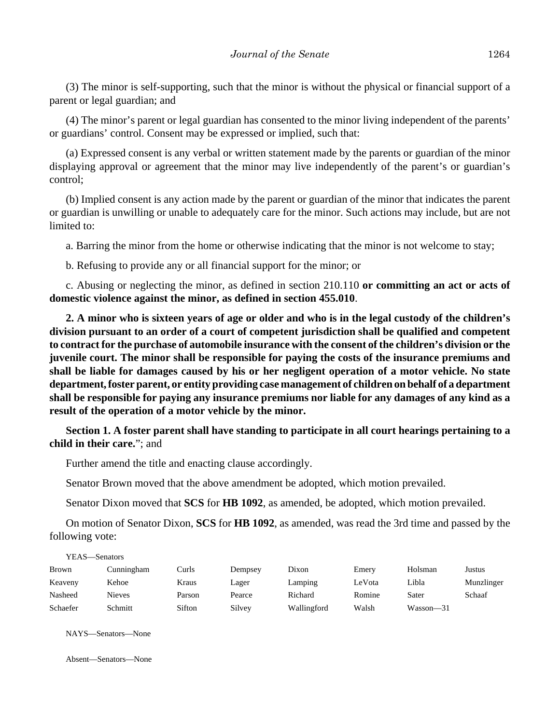(3) The minor is self-supporting, such that the minor is without the physical or financial support of a parent or legal guardian; and

(4) The minor's parent or legal guardian has consented to the minor living independent of the parents' or guardians' control. Consent may be expressed or implied, such that:

(a) Expressed consent is any verbal or written statement made by the parents or guardian of the minor displaying approval or agreement that the minor may live independently of the parent's or guardian's control;

(b) Implied consent is any action made by the parent or guardian of the minor that indicates the parent or guardian is unwilling or unable to adequately care for the minor. Such actions may include, but are not limited to:

a. Barring the minor from the home or otherwise indicating that the minor is not welcome to stay;

b. Refusing to provide any or all financial support for the minor; or

c. Abusing or neglecting the minor, as defined in section 210.110 **or committing an act or acts of domestic violence against the minor, as defined in section 455.010**.

**2. A minor who is sixteen years of age or older and who is in the legal custody of the children's division pursuant to an order of a court of competent jurisdiction shall be qualified and competent to contract for the purchase of automobile insurance with the consent of the children's division or the juvenile court. The minor shall be responsible for paying the costs of the insurance premiums and shall be liable for damages caused by his or her negligent operation of a motor vehicle. No state department, foster parent, or entity providing case management of children on behalf of a department shall be responsible for paying any insurance premiums nor liable for any damages of any kind as a result of the operation of a motor vehicle by the minor.**

**Section 1. A foster parent shall have standing to participate in all court hearings pertaining to a child in their care.**"; and

Further amend the title and enacting clause accordingly.

Senator Brown moved that the above amendment be adopted, which motion prevailed.

Senator Dixon moved that **SCS** for **HB 1092**, as amended, be adopted, which motion prevailed.

On motion of Senator Dixon, **SCS** for **HB 1092**, as amended, was read the 3rd time and passed by the following vote:

| YEAS—Senators |            |        |         |             |        |           |            |  |  |
|---------------|------------|--------|---------|-------------|--------|-----------|------------|--|--|
| <b>Brown</b>  | Cunningham | Curls  | Dempsey | Dixon       | Emery  | Holsman   | Justus     |  |  |
| Keaveny       | Kehoe      | Kraus  | Lager   | Lamping     | LeVota | Libla     | Munzlinger |  |  |
| Nasheed       | Nieves     | Parson | Pearce  | Richard     | Romine | Sater     | Schaaf     |  |  |
| Schaefer      | Schmitt    | Sifton | Silvey  | Wallingford | Walsh  | Wasson—31 |            |  |  |

NAYS—Senators—None

Absent—Senators—None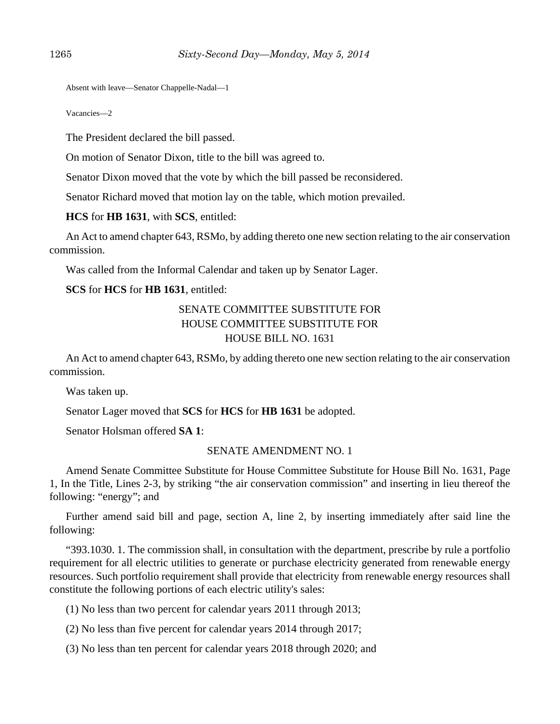Absent with leave—Senator Chappelle-Nadal—1

Vacancies—2

The President declared the bill passed.

On motion of Senator Dixon, title to the bill was agreed to.

Senator Dixon moved that the vote by which the bill passed be reconsidered.

Senator Richard moved that motion lay on the table, which motion prevailed.

**HCS** for **HB 1631**, with **SCS**, entitled:

An Act to amend chapter 643, RSMo, by adding thereto one new section relating to the air conservation commission.

Was called from the Informal Calendar and taken up by Senator Lager.

## **SCS** for **HCS** for **HB 1631**, entitled:

# SENATE COMMITTEE SUBSTITUTE FOR HOUSE COMMITTEE SUBSTITUTE FOR HOUSE BILL NO. 1631

An Act to amend chapter 643, RSMo, by adding thereto one new section relating to the air conservation commission.

Was taken up.

Senator Lager moved that **SCS** for **HCS** for **HB 1631** be adopted.

Senator Holsman offered **SA 1**:

#### SENATE AMENDMENT NO. 1

Amend Senate Committee Substitute for House Committee Substitute for House Bill No. 1631, Page 1, In the Title, Lines 2-3, by striking "the air conservation commission" and inserting in lieu thereof the following: "energy"; and

Further amend said bill and page, section A, line 2, by inserting immediately after said line the following:

"393.1030. 1. The commission shall, in consultation with the department, prescribe by rule a portfolio requirement for all electric utilities to generate or purchase electricity generated from renewable energy resources. Such portfolio requirement shall provide that electricity from renewable energy resources shall constitute the following portions of each electric utility's sales:

(1) No less than two percent for calendar years 2011 through 2013;

(2) No less than five percent for calendar years 2014 through 2017;

(3) No less than ten percent for calendar years 2018 through 2020; and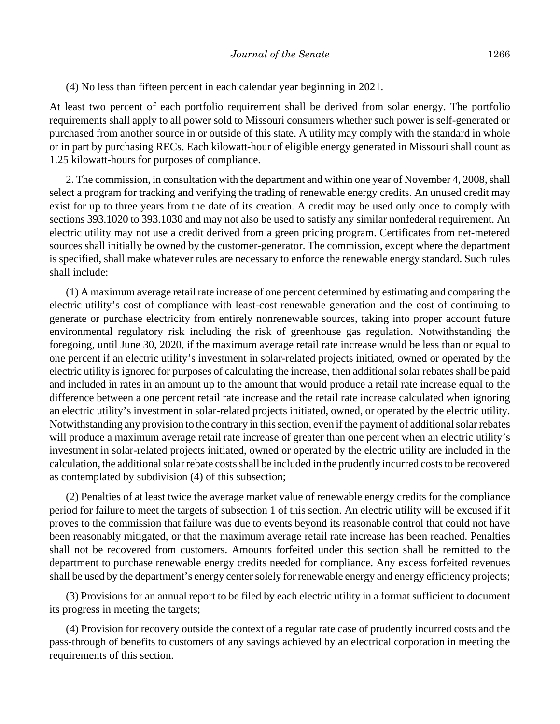(4) No less than fifteen percent in each calendar year beginning in 2021.

At least two percent of each portfolio requirement shall be derived from solar energy. The portfolio requirements shall apply to all power sold to Missouri consumers whether such power is self-generated or purchased from another source in or outside of this state. A utility may comply with the standard in whole or in part by purchasing RECs. Each kilowatt-hour of eligible energy generated in Missouri shall count as 1.25 kilowatt-hours for purposes of compliance.

2. The commission, in consultation with the department and within one year of November 4, 2008, shall select a program for tracking and verifying the trading of renewable energy credits. An unused credit may exist for up to three years from the date of its creation. A credit may be used only once to comply with sections 393.1020 to 393.1030 and may not also be used to satisfy any similar nonfederal requirement. An electric utility may not use a credit derived from a green pricing program. Certificates from net-metered sources shall initially be owned by the customer-generator. The commission, except where the department is specified, shall make whatever rules are necessary to enforce the renewable energy standard. Such rules shall include:

(1) A maximum average retail rate increase of one percent determined by estimating and comparing the electric utility's cost of compliance with least-cost renewable generation and the cost of continuing to generate or purchase electricity from entirely nonrenewable sources, taking into proper account future environmental regulatory risk including the risk of greenhouse gas regulation. Notwithstanding the foregoing, until June 30, 2020, if the maximum average retail rate increase would be less than or equal to one percent if an electric utility's investment in solar-related projects initiated, owned or operated by the electric utility is ignored for purposes of calculating the increase, then additional solar rebates shall be paid and included in rates in an amount up to the amount that would produce a retail rate increase equal to the difference between a one percent retail rate increase and the retail rate increase calculated when ignoring an electric utility's investment in solar-related projects initiated, owned, or operated by the electric utility. Notwithstanding any provision to the contrary in this section, even if the payment of additional solar rebates will produce a maximum average retail rate increase of greater than one percent when an electric utility's investment in solar-related projects initiated, owned or operated by the electric utility are included in the calculation, the additional solar rebate costs shall be included in the prudently incurred costs to be recovered as contemplated by subdivision (4) of this subsection;

(2) Penalties of at least twice the average market value of renewable energy credits for the compliance period for failure to meet the targets of subsection 1 of this section. An electric utility will be excused if it proves to the commission that failure was due to events beyond its reasonable control that could not have been reasonably mitigated, or that the maximum average retail rate increase has been reached. Penalties shall not be recovered from customers. Amounts forfeited under this section shall be remitted to the department to purchase renewable energy credits needed for compliance. Any excess forfeited revenues shall be used by the department's energy center solely for renewable energy and energy efficiency projects;

(3) Provisions for an annual report to be filed by each electric utility in a format sufficient to document its progress in meeting the targets;

(4) Provision for recovery outside the context of a regular rate case of prudently incurred costs and the pass-through of benefits to customers of any savings achieved by an electrical corporation in meeting the requirements of this section.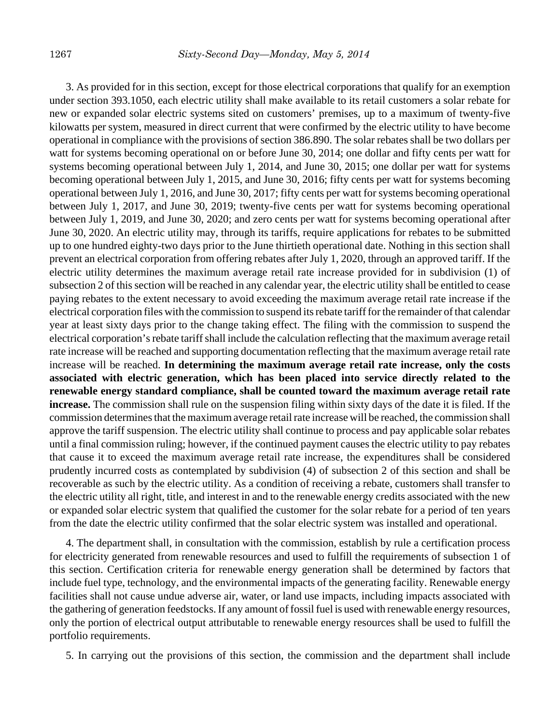3. As provided for in this section, except for those electrical corporations that qualify for an exemption under section 393.1050, each electric utility shall make available to its retail customers a solar rebate for new or expanded solar electric systems sited on customers' premises, up to a maximum of twenty-five kilowatts per system, measured in direct current that were confirmed by the electric utility to have become operational in compliance with the provisions of section 386.890. The solar rebates shall be two dollars per watt for systems becoming operational on or before June 30, 2014; one dollar and fifty cents per watt for systems becoming operational between July 1, 2014, and June 30, 2015; one dollar per watt for systems becoming operational between July 1, 2015, and June 30, 2016; fifty cents per watt for systems becoming operational between July 1, 2016, and June 30, 2017; fifty cents per watt for systems becoming operational between July 1, 2017, and June 30, 2019; twenty-five cents per watt for systems becoming operational between July 1, 2019, and June 30, 2020; and zero cents per watt for systems becoming operational after June 30, 2020. An electric utility may, through its tariffs, require applications for rebates to be submitted up to one hundred eighty-two days prior to the June thirtieth operational date. Nothing in this section shall prevent an electrical corporation from offering rebates after July 1, 2020, through an approved tariff. If the electric utility determines the maximum average retail rate increase provided for in subdivision (1) of subsection 2 of this section will be reached in any calendar year, the electric utility shall be entitled to cease paying rebates to the extent necessary to avoid exceeding the maximum average retail rate increase if the electrical corporation files with the commission to suspend its rebate tariff for the remainder of that calendar year at least sixty days prior to the change taking effect. The filing with the commission to suspend the electrical corporation's rebate tariff shall include the calculation reflecting that the maximum average retail rate increase will be reached and supporting documentation reflecting that the maximum average retail rate increase will be reached. **In determining the maximum average retail rate increase, only the costs associated with electric generation, which has been placed into service directly related to the renewable energy standard compliance, shall be counted toward the maximum average retail rate increase.** The commission shall rule on the suspension filing within sixty days of the date it is filed. If the commission determines that the maximum average retail rate increase will be reached, the commission shall approve the tariff suspension. The electric utility shall continue to process and pay applicable solar rebates until a final commission ruling; however, if the continued payment causes the electric utility to pay rebates that cause it to exceed the maximum average retail rate increase, the expenditures shall be considered prudently incurred costs as contemplated by subdivision (4) of subsection 2 of this section and shall be recoverable as such by the electric utility. As a condition of receiving a rebate, customers shall transfer to the electric utility all right, title, and interest in and to the renewable energy credits associated with the new or expanded solar electric system that qualified the customer for the solar rebate for a period of ten years from the date the electric utility confirmed that the solar electric system was installed and operational.

4. The department shall, in consultation with the commission, establish by rule a certification process for electricity generated from renewable resources and used to fulfill the requirements of subsection 1 of this section. Certification criteria for renewable energy generation shall be determined by factors that include fuel type, technology, and the environmental impacts of the generating facility. Renewable energy facilities shall not cause undue adverse air, water, or land use impacts, including impacts associated with the gathering of generation feedstocks. If any amount of fossil fuel is used with renewable energy resources, only the portion of electrical output attributable to renewable energy resources shall be used to fulfill the portfolio requirements.

5. In carrying out the provisions of this section, the commission and the department shall include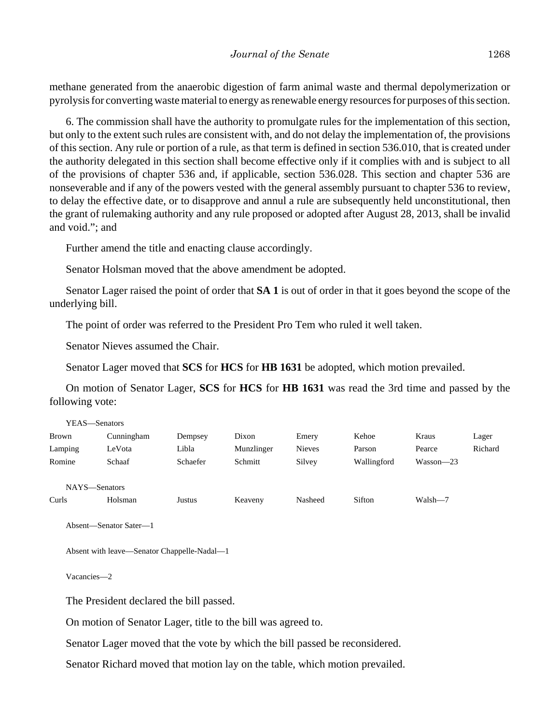methane generated from the anaerobic digestion of farm animal waste and thermal depolymerization or pyrolysis for converting waste material to energy as renewable energy resources for purposes of this section.

6. The commission shall have the authority to promulgate rules for the implementation of this section, but only to the extent such rules are consistent with, and do not delay the implementation of, the provisions of this section. Any rule or portion of a rule, as that term is defined in section 536.010, that is created under the authority delegated in this section shall become effective only if it complies with and is subject to all of the provisions of chapter 536 and, if applicable, section 536.028. This section and chapter 536 are nonseverable and if any of the powers vested with the general assembly pursuant to chapter 536 to review, to delay the effective date, or to disapprove and annul a rule are subsequently held unconstitutional, then the grant of rulemaking authority and any rule proposed or adopted after August 28, 2013, shall be invalid and void."; and

Further amend the title and enacting clause accordingly.

Senator Holsman moved that the above amendment be adopted.

Senator Lager raised the point of order that **SA 1** is out of order in that it goes beyond the scope of the underlying bill.

The point of order was referred to the President Pro Tem who ruled it well taken.

Senator Nieves assumed the Chair.

Senator Lager moved that **SCS** for **HCS** for **HB 1631** be adopted, which motion prevailed.

On motion of Senator Lager, **SCS** for **HCS** for **HB 1631** was read the 3rd time and passed by the following vote:

| YEAS—Senators |            |          |            |               |             |               |         |
|---------------|------------|----------|------------|---------------|-------------|---------------|---------|
| <b>Brown</b>  | Cunningham | Dempsey  | Dixon      | Emery         | Kehoe       | Kraus         | Lager   |
| Lamping       | LeVota     | Libla    | Munzlinger | <b>Nieves</b> | Parson      | Pearce        | Richard |
| Romine        | Schaaf     | Schaefer | Schmitt    | Silvey        | Wallingford | $Wasson - 23$ |         |
|               |            |          |            |               |             |               |         |
| NAYS-Senators |            |          |            |               |             |               |         |
| Curls         | Holsman    | Justus   | Keaveny    | Nasheed       | Sifton      | Walsh-7       |         |
|               |            |          |            |               |             |               |         |

```
Absent—Senator Sater—1
```
Absent with leave—Senator Chappelle-Nadal—1

Vacancies—2

The President declared the bill passed.

On motion of Senator Lager, title to the bill was agreed to.

Senator Lager moved that the vote by which the bill passed be reconsidered.

Senator Richard moved that motion lay on the table, which motion prevailed.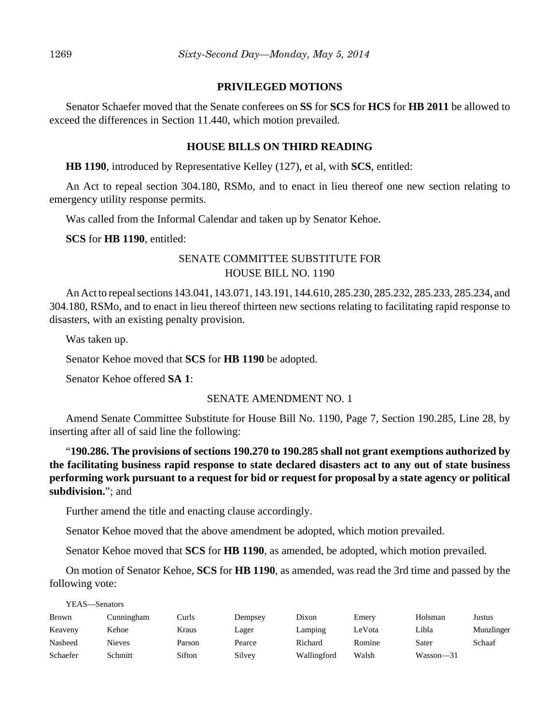## **PRIVILEGED MOTIONS**

Senator Schaefer moved that the Senate conferees on **SS** for **SCS** for **HCS** for **HB 2011** be allowed to exceed the differences in Section 11.440, which motion prevailed.

## **HOUSE BILLS ON THIRD READING**

**HB 1190**, introduced by Representative Kelley (127), et al, with **SCS**, entitled:

An Act to repeal section 304.180, RSMo, and to enact in lieu thereof one new section relating to emergency utility response permits.

Was called from the Informal Calendar and taken up by Senator Kehoe.

**SCS** for **HB 1190**, entitled:

# SENATE COMMITTEE SUBSTITUTE FOR HOUSE BILL NO. 1190

An Act to repeal sections 143.041, 143.071, 143.191, 144.610, 285.230, 285.232, 285.233, 285.234, and 304.180, RSMo, and to enact in lieu thereof thirteen new sections relating to facilitating rapid response to disasters, with an existing penalty provision.

Was taken up.

YEAS—Senators

Senator Kehoe moved that **SCS** for **HB 1190** be adopted.

Senator Kehoe offered **SA 1**:

#### SENATE AMENDMENT NO. 1

Amend Senate Committee Substitute for House Bill No. 1190, Page 7, Section 190.285, Line 28, by inserting after all of said line the following:

"**190.286. The provisions of sections 190.270 to 190.285 shall not grant exemptions authorized by the facilitating business rapid response to state declared disasters act to any out of state business performing work pursuant to a request for bid or request for proposal by a state agency or political subdivision.**"; and

Further amend the title and enacting clause accordingly.

Senator Kehoe moved that the above amendment be adopted, which motion prevailed.

Senator Kehoe moved that **SCS** for **HB 1190**, as amended, be adopted, which motion prevailed.

On motion of Senator Kehoe, **SCS** for **HB 1190**, as amended, was read the 3rd time and passed by the following vote:

| <b>Brown</b> | Cunningham | Curls  | Dempsey | Dixon       | Emery  | Holsman   | Justus     |
|--------------|------------|--------|---------|-------------|--------|-----------|------------|
| Keaveny      | Kehoe      | Kraus  | Lager   | Lamping     | LeVota | Libla     | Munzlinger |
| Nasheed      | Nieves     | Parson | Pearce  | Richard     | Romine | Sater     | Schaaf     |
| Schaefer     | Schmitt    | Sifton | Silvey  | Wallingford | Walsh  | Wasson—31 |            |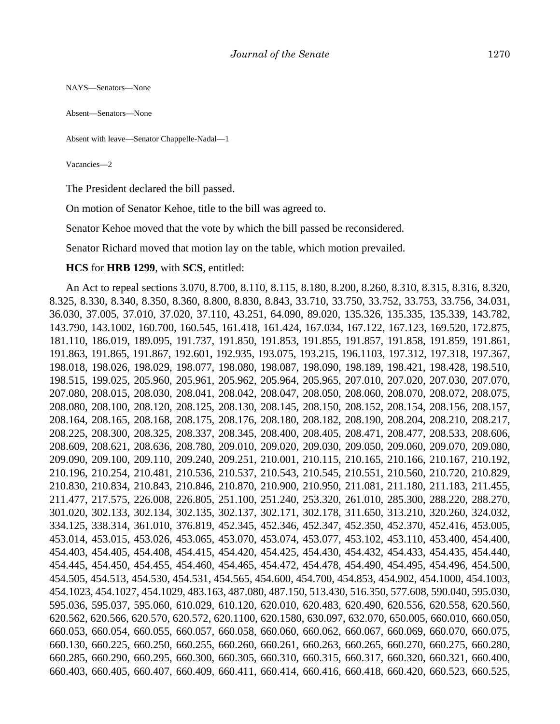NAYS—Senators—None

Absent—Senators—None

```
Absent with leave—Senator Chappelle-Nadal—1
```
Vacancies—2

The President declared the bill passed.

On motion of Senator Kehoe, title to the bill was agreed to.

Senator Kehoe moved that the vote by which the bill passed be reconsidered.

Senator Richard moved that motion lay on the table, which motion prevailed.

#### **HCS** for **HRB 1299**, with **SCS**, entitled:

An Act to repeal sections 3.070, 8.700, 8.110, 8.115, 8.180, 8.200, 8.260, 8.310, 8.315, 8.316, 8.320, 8.325, 8.330, 8.340, 8.350, 8.360, 8.800, 8.830, 8.843, 33.710, 33.750, 33.752, 33.753, 33.756, 34.031, 36.030, 37.005, 37.010, 37.020, 37.110, 43.251, 64.090, 89.020, 135.326, 135.335, 135.339, 143.782, 143.790, 143.1002, 160.700, 160.545, 161.418, 161.424, 167.034, 167.122, 167.123, 169.520, 172.875, 181.110, 186.019, 189.095, 191.737, 191.850, 191.853, 191.855, 191.857, 191.858, 191.859, 191.861, 191.863, 191.865, 191.867, 192.601, 192.935, 193.075, 193.215, 196.1103, 197.312, 197.318, 197.367, 198.018, 198.026, 198.029, 198.077, 198.080, 198.087, 198.090, 198.189, 198.421, 198.428, 198.510, 198.515, 199.025, 205.960, 205.961, 205.962, 205.964, 205.965, 207.010, 207.020, 207.030, 207.070, 207.080, 208.015, 208.030, 208.041, 208.042, 208.047, 208.050, 208.060, 208.070, 208.072, 208.075, 208.080, 208.100, 208.120, 208.125, 208.130, 208.145, 208.150, 208.152, 208.154, 208.156, 208.157, 208.164, 208.165, 208.168, 208.175, 208.176, 208.180, 208.182, 208.190, 208.204, 208.210, 208.217, 208.225, 208.300, 208.325, 208.337, 208.345, 208.400, 208.405, 208.471, 208.477, 208.533, 208.606, 208.609, 208.621, 208.636, 208.780, 209.010, 209.020, 209.030, 209.050, 209.060, 209.070, 209.080, 209.090, 209.100, 209.110, 209.240, 209.251, 210.001, 210.115, 210.165, 210.166, 210.167, 210.192, 210.196, 210.254, 210.481, 210.536, 210.537, 210.543, 210.545, 210.551, 210.560, 210.720, 210.829, 210.830, 210.834, 210.843, 210.846, 210.870, 210.900, 210.950, 211.081, 211.180, 211.183, 211.455, 211.477, 217.575, 226.008, 226.805, 251.100, 251.240, 253.320, 261.010, 285.300, 288.220, 288.270, 301.020, 302.133, 302.134, 302.135, 302.137, 302.171, 302.178, 311.650, 313.210, 320.260, 324.032, 334.125, 338.314, 361.010, 376.819, 452.345, 452.346, 452.347, 452.350, 452.370, 452.416, 453.005, 453.014, 453.015, 453.026, 453.065, 453.070, 453.074, 453.077, 453.102, 453.110, 453.400, 454.400, 454.403, 454.405, 454.408, 454.415, 454.420, 454.425, 454.430, 454.432, 454.433, 454.435, 454.440, 454.445, 454.450, 454.455, 454.460, 454.465, 454.472, 454.478, 454.490, 454.495, 454.496, 454.500, 454.505, 454.513, 454.530, 454.531, 454.565, 454.600, 454.700, 454.853, 454.902, 454.1000, 454.1003, 454.1023, 454.1027, 454.1029, 483.163, 487.080, 487.150, 513.430, 516.350, 577.608, 590.040, 595.030, 595.036, 595.037, 595.060, 610.029, 610.120, 620.010, 620.483, 620.490, 620.556, 620.558, 620.560, 620.562, 620.566, 620.570, 620.572, 620.1100, 620.1580, 630.097, 632.070, 650.005, 660.010, 660.050, 660.053, 660.054, 660.055, 660.057, 660.058, 660.060, 660.062, 660.067, 660.069, 660.070, 660.075, 660.130, 660.225, 660.250, 660.255, 660.260, 660.261, 660.263, 660.265, 660.270, 660.275, 660.280, 660.285, 660.290, 660.295, 660.300, 660.305, 660.310, 660.315, 660.317, 660.320, 660.321, 660.400, 660.403, 660.405, 660.407, 660.409, 660.411, 660.414, 660.416, 660.418, 660.420, 660.523, 660.525,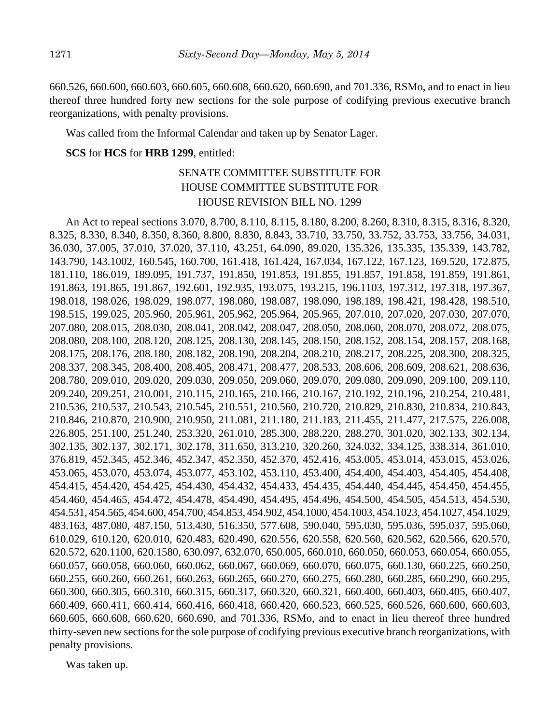660.526, 660.600, 660.603, 660.605, 660.608, 660.620, 660.690, and 701.336, RSMo, and to enact in lieu thereof three hundred forty new sections for the sole purpose of codifying previous executive branch reorganizations, with penalty provisions.

Was called from the Informal Calendar and taken up by Senator Lager.

## **SCS** for **HCS** for **HRB 1299**, entitled:

# SENATE COMMITTEE SUBSTITUTE FOR HOUSE COMMITTEE SUBSTITUTE FOR HOUSE REVISION BILL NO. 1299

An Act to repeal sections 3.070, 8.700, 8.110, 8.115, 8.180, 8.200, 8.260, 8.310, 8.315, 8.316, 8.320, 8.325, 8.330, 8.340, 8.350, 8.360, 8.800, 8.830, 8.843, 33.710, 33.750, 33.752, 33.753, 33.756, 34.031, 36.030, 37.005, 37.010, 37.020, 37.110, 43.251, 64.090, 89.020, 135.326, 135.335, 135.339, 143.782, 143.790, 143.1002, 160.545, 160.700, 161.418, 161.424, 167.034, 167.122, 167.123, 169.520, 172.875, 181.110, 186.019, 189.095, 191.737, 191.850, 191.853, 191.855, 191.857, 191.858, 191.859, 191.861, 191.863, 191.865, 191.867, 192.601, 192.935, 193.075, 193.215, 196.1103, 197.312, 197.318, 197.367, 198.018, 198.026, 198.029, 198.077, 198.080, 198.087, 198.090, 198.189, 198.421, 198.428, 198.510, 198.515, 199.025, 205.960, 205.961, 205.962, 205.964, 205.965, 207.010, 207.020, 207.030, 207.070, 207.080, 208.015, 208.030, 208.041, 208.042, 208.047, 208.050, 208.060, 208.070, 208.072, 208.075, 208.080, 208.100, 208.120, 208.125, 208.130, 208.145, 208.150, 208.152, 208.154, 208.157, 208.168, 208.175, 208.176, 208.180, 208.182, 208.190, 208.204, 208.210, 208.217, 208.225, 208.300, 208.325, 208.337, 208.345, 208.400, 208.405, 208.471, 208.477, 208.533, 208.606, 208.609, 208.621, 208.636, 208.780, 209.010, 209.020, 209.030, 209.050, 209.060, 209.070, 209.080, 209.090, 209.100, 209.110, 209.240, 209.251, 210.001, 210.115, 210.165, 210.166, 210.167, 210.192, 210.196, 210.254, 210.481, 210.536, 210.537, 210.543, 210.545, 210.551, 210.560, 210.720, 210.829, 210.830, 210.834, 210.843, 210.846, 210.870, 210.900, 210.950, 211.081, 211.180, 211.183, 211.455, 211.477, 217.575, 226.008, 226.805, 251.100, 251.240, 253.320, 261.010, 285.300, 288.220, 288.270, 301.020, 302.133, 302.134, 302.135, 302.137, 302.171, 302.178, 311.650, 313.210, 320.260, 324.032, 334.125, 338.314, 361.010, 376.819, 452.345, 452.346, 452.347, 452.350, 452.370, 452.416, 453.005, 453.014, 453.015, 453.026, 453.065, 453.070, 453.074, 453.077, 453.102, 453.110, 453.400, 454.400, 454.403, 454.405, 454.408, 454.415, 454.420, 454.425, 454.430, 454.432, 454.433, 454.435, 454.440, 454.445, 454.450, 454.455, 454.460, 454.465, 454.472, 454.478, 454.490, 454.495, 454.496, 454.500, 454.505, 454.513, 454.530, 454.531, 454.565, 454.600, 454.700, 454.853, 454.902, 454.1000, 454.1003, 454.1023, 454.1027, 454.1029, 483.163, 487.080, 487.150, 513.430, 516.350, 577.608, 590.040, 595.030, 595.036, 595.037, 595.060, 610.029, 610.120, 620.010, 620.483, 620.490, 620.556, 620.558, 620.560, 620.562, 620.566, 620.570, 620.572, 620.1100, 620.1580, 630.097, 632.070, 650.005, 660.010, 660.050, 660.053, 660.054, 660.055, 660.057, 660.058, 660.060, 660.062, 660.067, 660.069, 660.070, 660.075, 660.130, 660.225, 660.250, 660.255, 660.260, 660.261, 660.263, 660.265, 660.270, 660.275, 660.280, 660.285, 660.290, 660.295, 660.300, 660.305, 660.310, 660.315, 660.317, 660.320, 660.321, 660.400, 660.403, 660.405, 660.407, 660.409, 660.411, 660.414, 660.416, 660.418, 660.420, 660.523, 660.525, 660.526, 660.600, 660.603, 660.605, 660.608, 660.620, 660.690, and 701.336, RSMo, and to enact in lieu thereof three hundred thirty-seven new sections for the sole purpose of codifying previous executive branch reorganizations, with penalty provisions.

Was taken up.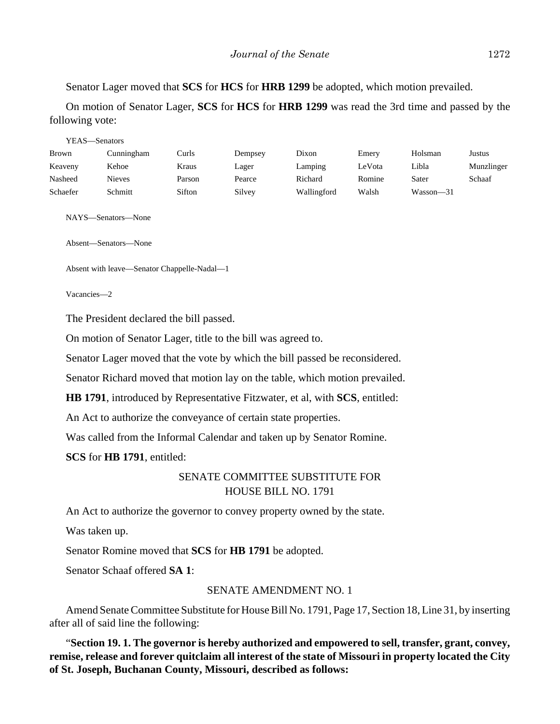Senator Lager moved that **SCS** for **HCS** for **HRB 1299** be adopted, which motion prevailed.

On motion of Senator Lager, **SCS** for **HCS** for **HRB 1299** was read the 3rd time and passed by the following vote:

| YEAS—Senators |               |        |         |             |        |               |            |  |  |
|---------------|---------------|--------|---------|-------------|--------|---------------|------------|--|--|
| <b>Brown</b>  | Cunningham    | Curls  | Dempsey | Dixon       | Emery  | Holsman       | Justus     |  |  |
| Keaveny       | Kehoe         | Kraus  | Lager   | Lamping     | LeVota | Libla         | Munzlinger |  |  |
| Nasheed       | <b>Nieves</b> | Parson | Pearce  | Richard     | Romine | Sater         | Schaaf     |  |  |
| Schaefer      | Schmitt       | Sifton | Silvey  | Wallingford | Walsh  | $Wasson - 31$ |            |  |  |

NAYS—Senators—None

Absent—Senators—None

Absent with leave—Senator Chappelle-Nadal—1

Vacancies—2

The President declared the bill passed.

On motion of Senator Lager, title to the bill was agreed to.

Senator Lager moved that the vote by which the bill passed be reconsidered.

Senator Richard moved that motion lay on the table, which motion prevailed.

**HB 1791**, introduced by Representative Fitzwater, et al, with **SCS**, entitled:

An Act to authorize the conveyance of certain state properties.

Was called from the Informal Calendar and taken up by Senator Romine.

**SCS** for **HB 1791**, entitled:

# SENATE COMMITTEE SUBSTITUTE FOR HOUSE BILL NO. 1791

An Act to authorize the governor to convey property owned by the state.

Was taken up.

Senator Romine moved that **SCS** for **HB 1791** be adopted.

Senator Schaaf offered **SA 1**:

#### SENATE AMENDMENT NO. 1

Amend Senate Committee Substitute for House Bill No. 1791, Page 17, Section 18, Line 31, by inserting after all of said line the following:

"**Section 19. 1. The governor is hereby authorized and empowered to sell, transfer, grant, convey, remise, release and forever quitclaim all interest of the state of Missouri in property located the City of St. Joseph, Buchanan County, Missouri, described as follows:**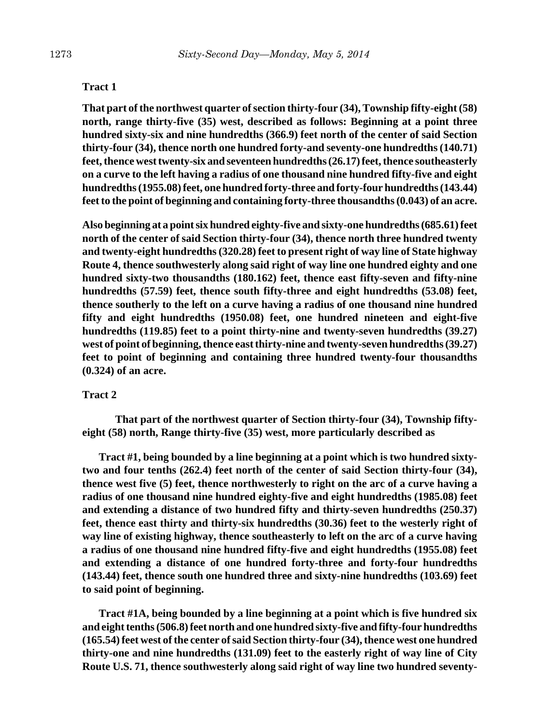#### **Tract 1**

**That part of the northwest quarter of section thirty-four (34), Township fifty-eight (58) north, range thirty-five (35) west, described as follows: Beginning at a point three hundred sixty-six and nine hundredths (366.9) feet north of the center of said Section thirty-four (34), thence north one hundred forty-and seventy-one hundredths (140.71) feet, thence west twenty-six and seventeen hundredths (26.17) feet, thence southeasterly on a curve to the left having a radius of one thousand nine hundred fifty-five and eight hundredths (1955.08) feet, one hundred forty-three and forty-four hundredths (143.44) feet to the point of beginning and containing forty-three thousandths (0.043) of an acre.**

**Also beginning at a point six hundred eighty-five and sixty-one hundredths (685.61) feet north of the center of said Section thirty-four (34), thence north three hundred twenty and twenty-eight hundredths (320.28) feet to present right of way line of State highway Route 4, thence southwesterly along said right of way line one hundred eighty and one hundred sixty-two thousandths (180.162) feet, thence east fifty-seven and fifty-nine hundredths (57.59) feet, thence south fifty-three and eight hundredths (53.08) feet, thence southerly to the left on a curve having a radius of one thousand nine hundred fifty and eight hundredths (1950.08) feet, one hundred nineteen and eight-five hundredths (119.85) feet to a point thirty-nine and twenty-seven hundredths (39.27) west of point of beginning, thence east thirty-nine and twenty-seven hundredths (39.27) feet to point of beginning and containing three hundred twenty-four thousandths (0.324) of an acre.**

#### **Tract 2**

**That part of the northwest quarter of Section thirty-four (34), Township fiftyeight (58) north, Range thirty-five (35) west, more particularly described as**

**Tract #1, being bounded by a line beginning at a point which is two hundred sixtytwo and four tenths (262.4) feet north of the center of said Section thirty-four (34), thence west five (5) feet, thence northwesterly to right on the arc of a curve having a radius of one thousand nine hundred eighty-five and eight hundredths (1985.08) feet and extending a distance of two hundred fifty and thirty-seven hundredths (250.37) feet, thence east thirty and thirty-six hundredths (30.36) feet to the westerly right of way line of existing highway, thence southeasterly to left on the arc of a curve having a radius of one thousand nine hundred fifty-five and eight hundredths (1955.08) feet and extending a distance of one hundred forty-three and forty-four hundredths (143.44) feet, thence south one hundred three and sixty-nine hundredths (103.69) feet to said point of beginning.**

**Tract #1A, being bounded by a line beginning at a point which is five hundred six and eight tenths (506.8) feet north and one hundred sixty-five and fifty-four hundredths (165.54) feet west of the center of said Section thirty-four (34), thence west one hundred thirty-one and nine hundredths (131.09) feet to the easterly right of way line of City Route U.S. 71, thence southwesterly along said right of way line two hundred seventy-**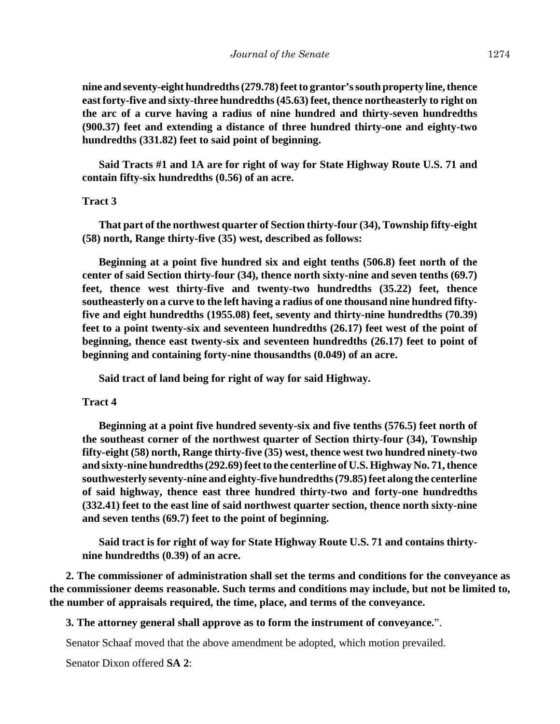**nine and seventy-eight hundredths (279.78) feet to grantor's south property line, thence east forty-five and sixty-three hundredths (45.63) feet, thence northeasterly to right on the arc of a curve having a radius of nine hundred and thirty-seven hundredths (900.37) feet and extending a distance of three hundred thirty-one and eighty-two hundredths (331.82) feet to said point of beginning.**

**Said Tracts #1 and 1A are for right of way for State Highway Route U.S. 71 and contain fifty-six hundredths (0.56) of an acre.**

## **Tract 3**

**That part of the northwest quarter of Section thirty-four (34), Township fifty-eight (58) north, Range thirty-five (35) west, described as follows:**

**Beginning at a point five hundred six and eight tenths (506.8) feet north of the center of said Section thirty-four (34), thence north sixty-nine and seven tenths (69.7) feet, thence west thirty-five and twenty-two hundredths (35.22) feet, thence southeasterly on a curve to the left having a radius of one thousand nine hundred fiftyfive and eight hundredths (1955.08) feet, seventy and thirty-nine hundredths (70.39) feet to a point twenty-six and seventeen hundredths (26.17) feet west of the point of beginning, thence east twenty-six and seventeen hundredths (26.17) feet to point of beginning and containing forty-nine thousandths (0.049) of an acre.**

**Said tract of land being for right of way for said Highway.**

#### **Tract 4**

**Beginning at a point five hundred seventy-six and five tenths (576.5) feet north of the southeast corner of the northwest quarter of Section thirty-four (34), Township fifty-eight (58) north, Range thirty-five (35) west, thence west two hundred ninety-two and sixty-nine hundredths (292.69) feet to the centerline of U.S. Highway No. 71, thence southwesterly seventy-nine and eighty-five hundredths (79.85) feet along the centerline of said highway, thence east three hundred thirty-two and forty-one hundredths (332.41) feet to the east line of said northwest quarter section, thence north sixty-nine and seven tenths (69.7) feet to the point of beginning.**

**Said tract is for right of way for State Highway Route U.S. 71 and contains thirtynine hundredths (0.39) of an acre.**

**2. The commissioner of administration shall set the terms and conditions for the conveyance as the commissioner deems reasonable. Such terms and conditions may include, but not be limited to, the number of appraisals required, the time, place, and terms of the conveyance.**

**3. The attorney general shall approve as to form the instrument of conveyance.**".

Senator Schaaf moved that the above amendment be adopted, which motion prevailed.

Senator Dixon offered **SA 2**: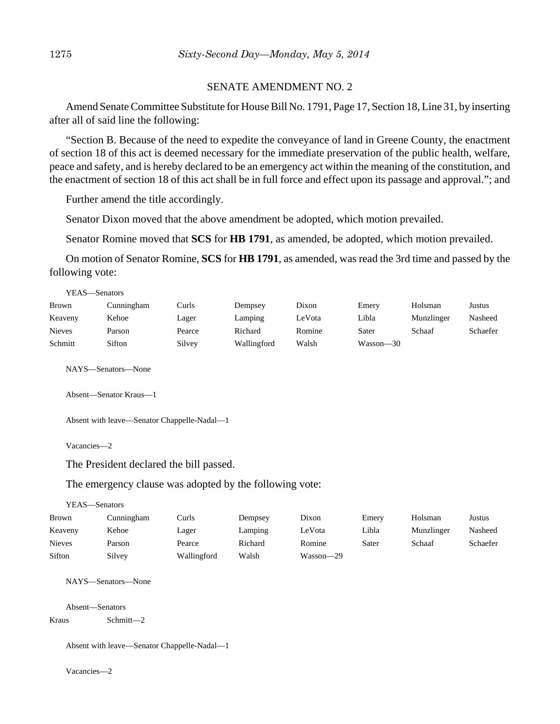#### SENATE AMENDMENT NO. 2

Amend Senate Committee Substitute for House Bill No. 1791, Page 17, Section 18, Line 31, by inserting after all of said line the following:

"Section B. Because of the need to expedite the conveyance of land in Greene County, the enactment of section 18 of this act is deemed necessary for the immediate preservation of the public health, welfare, peace and safety, and is hereby declared to be an emergency act within the meaning of the constitution, and the enactment of section 18 of this act shall be in full force and effect upon its passage and approval."; and

Further amend the title accordingly.

Senator Dixon moved that the above amendment be adopted, which motion prevailed.

Senator Romine moved that **SCS** for **HB 1791**, as amended, be adopted, which motion prevailed.

On motion of Senator Romine, **SCS** for **HB 1791**, as amended, was read the 3rd time and passed by the following vote:

| YEAS—Senators |            |        |             |        |           |            |          |
|---------------|------------|--------|-------------|--------|-----------|------------|----------|
| Brown         | Cunningham | Curls  | Dempsey     | Dixon  | Emery     | Holsman    | Justus   |
| Keaveny       | Kehoe      | Lager  | Lamping     | LeVota | Libla     | Munzlinger | Nasheed  |
| <b>Nieves</b> | Parson     | Pearce | Richard     | Romine | Sater     | Schaaf     | Schaefer |
| Schmitt       | Sifton     | Silvey | Wallingford | Walsh  | Wasson—30 |            |          |
|               |            |        |             |        |           |            |          |

NAYS—Senators—None

Absent—Senator Kraus—1

Absent with leave—Senator Chappelle-Nadal—1

Vacancies—2

The President declared the bill passed.

The emergency clause was adopted by the following vote:

YEAS—Senators

| <b>Brown</b>  | Cunningham | Curls       | Dempsey | Dixon     | Emery | Holsman    | Justus   |
|---------------|------------|-------------|---------|-----------|-------|------------|----------|
| Keaveny       | Kehoe      | Lager       | Lamping | LeVota    | Libla | Munzlinger | Nasheed  |
| <b>Nieves</b> | Parson     | Pearce      | Richard | Romine    | Sater | Schaaf     | Schaefer |
| Sifton        | Silvey     | Wallingford | Walsh   | Wasson-29 |       |            |          |

NAYS—Senators—None

Absent—Senators

Kraus Schmitt—2

Absent with leave—Senator Chappelle-Nadal—1

Vacancies—2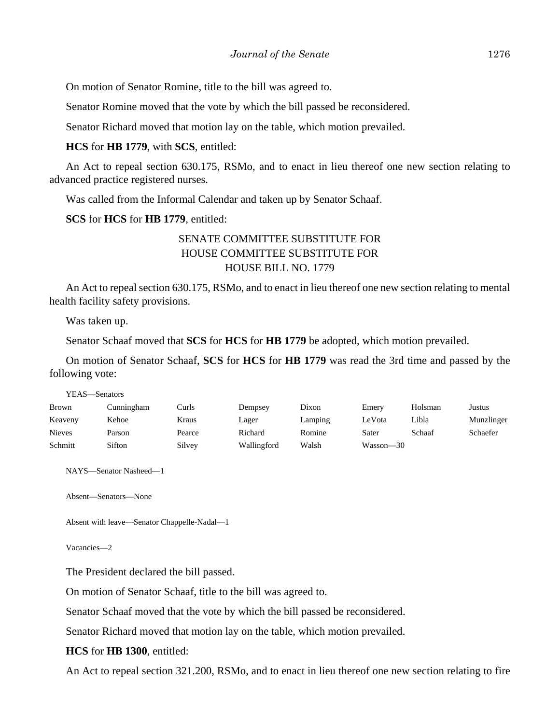On motion of Senator Romine, title to the bill was agreed to.

Senator Romine moved that the vote by which the bill passed be reconsidered.

Senator Richard moved that motion lay on the table, which motion prevailed.

**HCS** for **HB 1779**, with **SCS**, entitled:

An Act to repeal section 630.175, RSMo, and to enact in lieu thereof one new section relating to advanced practice registered nurses.

Was called from the Informal Calendar and taken up by Senator Schaaf.

**SCS** for **HCS** for **HB 1779**, entitled:

# SENATE COMMITTEE SUBSTITUTE FOR HOUSE COMMITTEE SUBSTITUTE FOR HOUSE BILL NO. 1779

An Act to repeal section 630.175, RSMo, and to enact in lieu thereof one new section relating to mental health facility safety provisions.

Was taken up.

Senator Schaaf moved that **SCS** for **HCS** for **HB 1779** be adopted, which motion prevailed.

On motion of Senator Schaaf, **SCS** for **HCS** for **HB 1779** was read the 3rd time and passed by the following vote:

| YEAS—Senators |            |        |             |         |           |         |            |
|---------------|------------|--------|-------------|---------|-----------|---------|------------|
| <b>Brown</b>  | Cunningham | Curls  | Dempsey     | Dixon   | Emery     | Holsman | Justus     |
| Keaveny       | Kehoe      | Kraus  | Lager       | Lamping | LeVota    | Libla   | Munzlinger |
| <b>Nieves</b> | Parson     | Pearce | Richard     | Romine  | Sater     | Schaaf  | Schaefer   |
| Schmitt       | Sifton     | Silvey | Wallingford | Walsh   | Wasson—30 |         |            |

NAYS—Senator Nasheed—1

Absent—Senators—None

```
Absent with leave—Senator Chappelle-Nadal—1
```
Vacancies—2

The President declared the bill passed.

On motion of Senator Schaaf, title to the bill was agreed to.

Senator Schaaf moved that the vote by which the bill passed be reconsidered.

Senator Richard moved that motion lay on the table, which motion prevailed.

**HCS** for **HB 1300**, entitled:

An Act to repeal section 321.200, RSMo, and to enact in lieu thereof one new section relating to fire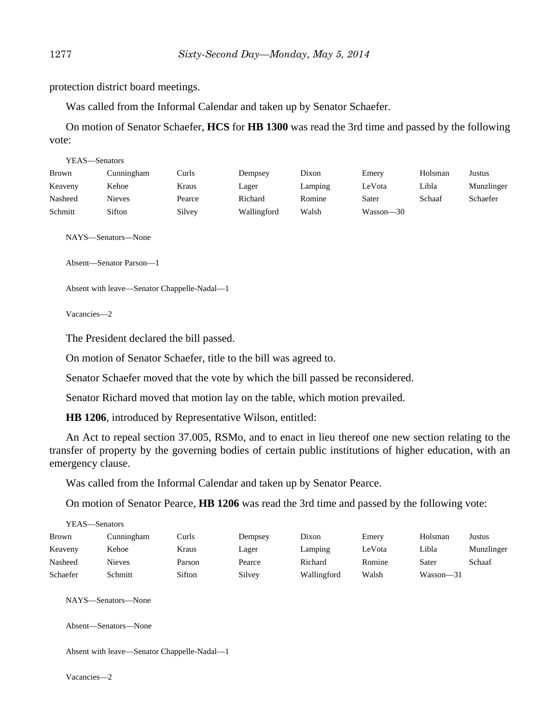protection district board meetings.

Was called from the Informal Calendar and taken up by Senator Schaefer.

On motion of Senator Schaefer, **HCS** for **HB 1300** was read the 3rd time and passed by the following vote:

|         | YEAS—Senators |        |             |         |           |         |            |  |  |  |
|---------|---------------|--------|-------------|---------|-----------|---------|------------|--|--|--|
| Brown   | Cunningham    | Curls  | Dempsey     | Dixon   | Emery     | Holsman | Justus     |  |  |  |
| Keaveny | Kehoe         | Kraus  | Lager       | Lamping | LeVota    | Libla   | Munzlinger |  |  |  |
| Nasheed | Nieves        | Pearce | Richard     | Romine  | Sater     | Schaaf  | Schaefer   |  |  |  |
| Schmitt | Sifton        | Silvey | Wallingford | Walsh   | Wasson—30 |         |            |  |  |  |

NAYS—Senators—None

Absent—Senator Parson—1

```
Absent with leave—Senator Chappelle-Nadal—1
```
Vacancies—2

The President declared the bill passed.

On motion of Senator Schaefer, title to the bill was agreed to.

Senator Schaefer moved that the vote by which the bill passed be reconsidered.

Senator Richard moved that motion lay on the table, which motion prevailed.

**HB 1206**, introduced by Representative Wilson, entitled:

An Act to repeal section 37.005, RSMo, and to enact in lieu thereof one new section relating to the transfer of property by the governing bodies of certain public institutions of higher education, with an emergency clause.

Was called from the Informal Calendar and taken up by Senator Pearce.

On motion of Senator Pearce, **HB 1206** was read the 3rd time and passed by the following vote:

| YEAS—Senators |               |        |         |             |        |           |            |
|---------------|---------------|--------|---------|-------------|--------|-----------|------------|
| Brown         | Cunningham    | Curls  | Dempsey | Dixon       | Emery  | Holsman   | Justus     |
| Keaveny       | Kehoe         | Kraus  | Lager   | Lamping     | LeVota | Libla     | Munzlinger |
| Nasheed       | <b>Nieves</b> | Parson | Pearce  | Richard     | Romine | Sater     | Schaaf     |
| Schaefer      | Schmitt       | Sifton | Silvey  | Wallingford | Walsh  | Wasson—31 |            |

NAYS—Senators—None

Absent—Senators—None

Absent with leave—Senator Chappelle-Nadal—1

Vacancies—2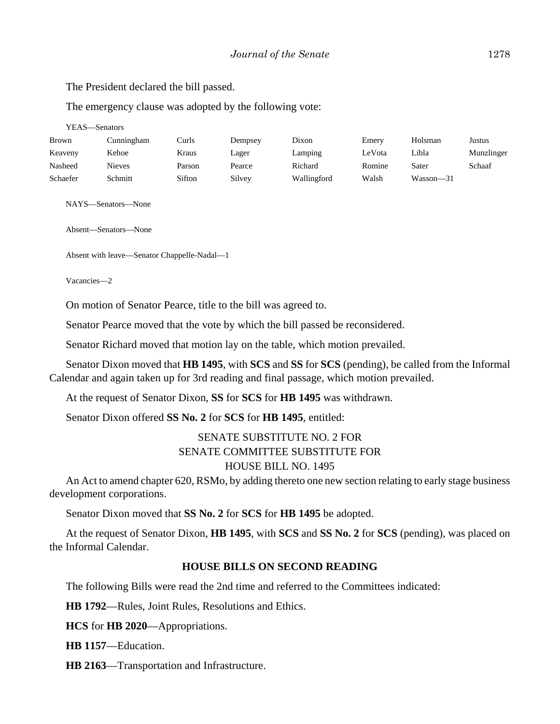The President declared the bill passed.

The emergency clause was adopted by the following vote:

YEAS—Senators

| Brown    | Cunningham    | Curls  | Dempsey | Dixon       | Emery  | Holsman   | Justus     |
|----------|---------------|--------|---------|-------------|--------|-----------|------------|
| Keaveny  | Kehoe         | Kraus  | Lager   | Lamping     | LeVota | Libla     | Munzlinger |
| Nasheed  | <b>Nieves</b> | Parson | Pearce  | Richard     | Romine | Sater     | Schaaf     |
| Schaefer | Schmitt       | Sifton | Silvev  | Wallingford | Walsh  | Wasson-31 |            |

NAYS—Senators—None

Absent—Senators—None

Absent with leave—Senator Chappelle-Nadal—1

Vacancies—2

On motion of Senator Pearce, title to the bill was agreed to.

Senator Pearce moved that the vote by which the bill passed be reconsidered.

Senator Richard moved that motion lay on the table, which motion prevailed.

Senator Dixon moved that **HB 1495**, with **SCS** and **SS** for **SCS** (pending), be called from the Informal Calendar and again taken up for 3rd reading and final passage, which motion prevailed.

At the request of Senator Dixon, **SS** for **SCS** for **HB 1495** was withdrawn.

Senator Dixon offered **SS No. 2** for **SCS** for **HB 1495**, entitled:

# SENATE SUBSTITUTE NO. 2 FOR SENATE COMMITTEE SUBSTITUTE FOR HOUSE BILL NO. 1495

An Act to amend chapter 620, RSMo, by adding thereto one new section relating to early stage business development corporations.

Senator Dixon moved that **SS No. 2** for **SCS** for **HB 1495** be adopted.

At the request of Senator Dixon, **HB 1495**, with **SCS** and **SS No. 2** for **SCS** (pending), was placed on the Informal Calendar.

## **HOUSE BILLS ON SECOND READING**

The following Bills were read the 2nd time and referred to the Committees indicated:

**HB 1792**––Rules, Joint Rules, Resolutions and Ethics.

**HCS** for **HB 2020**––Appropriations.

**HB 1157**––Education.

**HB 2163**––Transportation and Infrastructure.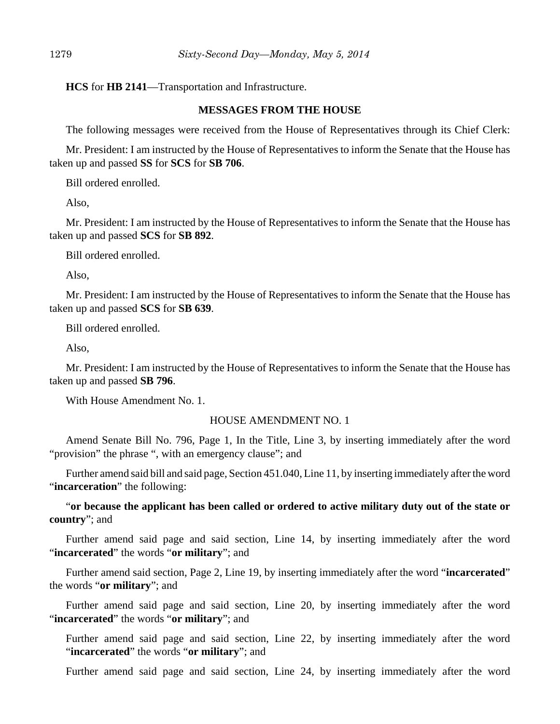**HCS** for **HB 2141**––Transportation and Infrastructure.

#### **MESSAGES FROM THE HOUSE**

The following messages were received from the House of Representatives through its Chief Clerk:

Mr. President: I am instructed by the House of Representatives to inform the Senate that the House has taken up and passed **SS** for **SCS** for **SB 706**.

Bill ordered enrolled.

Also,

Mr. President: I am instructed by the House of Representatives to inform the Senate that the House has taken up and passed **SCS** for **SB 892**.

Bill ordered enrolled.

Also,

Mr. President: I am instructed by the House of Representatives to inform the Senate that the House has taken up and passed **SCS** for **SB 639**.

Bill ordered enrolled.

Also,

Mr. President: I am instructed by the House of Representatives to inform the Senate that the House has taken up and passed **SB 796**.

With House Amendment No. 1.

#### HOUSE AMENDMENT NO. 1

Amend Senate Bill No. 796, Page 1, In the Title, Line 3, by inserting immediately after the word "provision" the phrase ", with an emergency clause"; and

Further amend said bill and said page, Section 451.040, Line 11, by inserting immediately after the word "**incarceration**" the following:

"**or because the applicant has been called or ordered to active military duty out of the state or country**"; and

Further amend said page and said section, Line 14, by inserting immediately after the word "**incarcerated**" the words "**or military**"; and

Further amend said section, Page 2, Line 19, by inserting immediately after the word "**incarcerated**" the words "**or military**"; and

Further amend said page and said section, Line 20, by inserting immediately after the word "**incarcerated**" the words "**or military**"; and

Further amend said page and said section, Line 22, by inserting immediately after the word "**incarcerated**" the words "**or military**"; and

Further amend said page and said section, Line 24, by inserting immediately after the word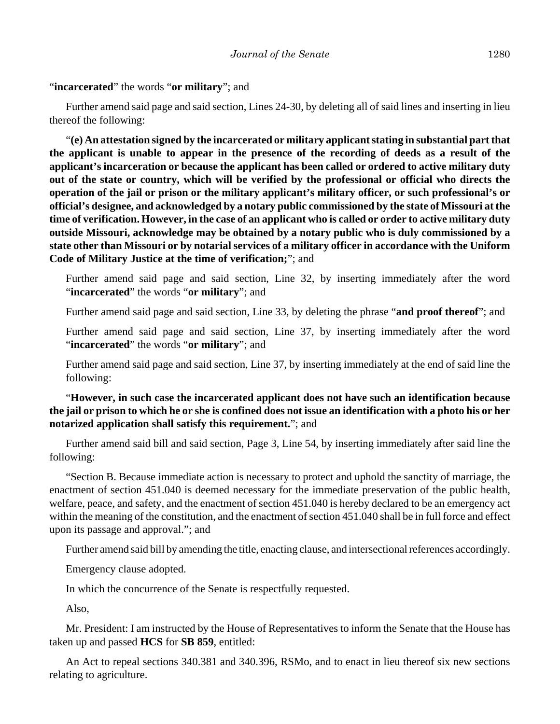# "**incarcerated**" the words "**or military**"; and

Further amend said page and said section, Lines 24-30, by deleting all of said lines and inserting in lieu thereof the following:

"**(e) An attestation signed by the incarcerated or military applicant stating in substantial part that the applicant is unable to appear in the presence of the recording of deeds as a result of the applicant's incarceration or because the applicant has been called or ordered to active military duty out of the state or country, which will be verified by the professional or official who directs the operation of the jail or prison or the military applicant's military officer, or such professional's or official's designee, and acknowledged by a notary public commissioned by the state of Missouri at the time of verification. However, in the case of an applicant who is called or order to active military duty outside Missouri, acknowledge may be obtained by a notary public who is duly commissioned by a state other than Missouri or by notarial services of a military officer in accordance with the Uniform Code of Military Justice at the time of verification;**"; and

Further amend said page and said section, Line 32, by inserting immediately after the word "**incarcerated**" the words "**or military**"; and

Further amend said page and said section, Line 33, by deleting the phrase "**and proof thereof**"; and

Further amend said page and said section, Line 37, by inserting immediately after the word "**incarcerated**" the words "**or military**"; and

Further amend said page and said section, Line 37, by inserting immediately at the end of said line the following:

"**However, in such case the incarcerated applicant does not have such an identification because the jail or prison to which he or she is confined does not issue an identification with a photo his or her notarized application shall satisfy this requirement.**"; and

Further amend said bill and said section, Page 3, Line 54, by inserting immediately after said line the following:

"Section B. Because immediate action is necessary to protect and uphold the sanctity of marriage, the enactment of section 451.040 is deemed necessary for the immediate preservation of the public health, welfare, peace, and safety, and the enactment of section 451.040 is hereby declared to be an emergency act within the meaning of the constitution, and the enactment of section 451.040 shall be in full force and effect upon its passage and approval."; and

Further amend said bill by amending the title, enacting clause, and intersectional references accordingly.

Emergency clause adopted.

In which the concurrence of the Senate is respectfully requested.

Also,

Mr. President: I am instructed by the House of Representatives to inform the Senate that the House has taken up and passed **HCS** for **SB 859**, entitled:

An Act to repeal sections 340.381 and 340.396, RSMo, and to enact in lieu thereof six new sections relating to agriculture.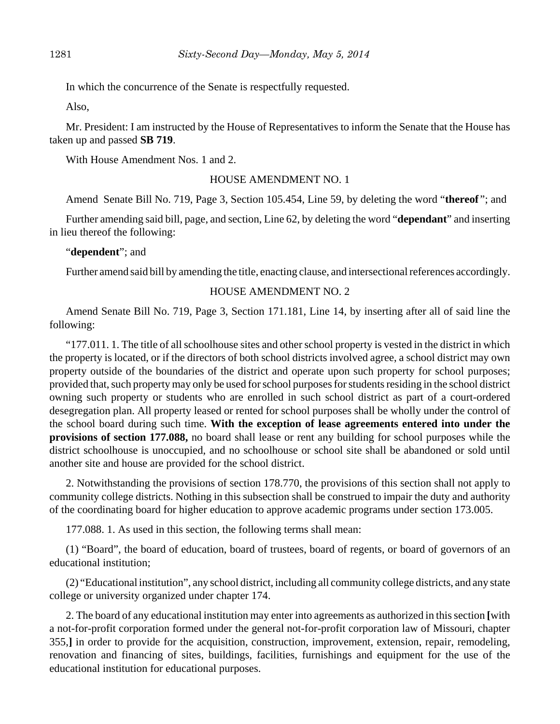In which the concurrence of the Senate is respectfully requested.

Also,

Mr. President: I am instructed by the House of Representatives to inform the Senate that the House has taken up and passed **SB 719**.

With House Amendment Nos. 1 and 2.

#### HOUSE AMENDMENT NO. 1

Amend Senate Bill No. 719, Page 3, Section 105.454, Line 59, by deleting the word "**thereof** "; and

Further amending said bill, page, and section, Line 62, by deleting the word "**dependant**" and inserting in lieu thereof the following:

"**dependent**"; and

Further amend said bill by amending the title, enacting clause, and intersectional references accordingly.

### HOUSE AMENDMENT NO. 2

Amend Senate Bill No. 719, Page 3, Section 171.181, Line 14, by inserting after all of said line the following:

"177.011. 1. The title of all schoolhouse sites and other school property is vested in the district in which the property is located, or if the directors of both school districts involved agree, a school district may own property outside of the boundaries of the district and operate upon such property for school purposes; provided that, such property may only be used for school purposes for students residing in the school district owning such property or students who are enrolled in such school district as part of a court-ordered desegregation plan. All property leased or rented for school purposes shall be wholly under the control of the school board during such time. **With the exception of lease agreements entered into under the provisions of section 177.088,** no board shall lease or rent any building for school purposes while the district schoolhouse is unoccupied, and no schoolhouse or school site shall be abandoned or sold until another site and house are provided for the school district.

2. Notwithstanding the provisions of section 178.770, the provisions of this section shall not apply to community college districts. Nothing in this subsection shall be construed to impair the duty and authority of the coordinating board for higher education to approve academic programs under section 173.005.

177.088. 1. As used in this section, the following terms shall mean:

(1) "Board", the board of education, board of trustees, board of regents, or board of governors of an educational institution;

(2) "Educational institution", any school district, including all community college districts, and any state college or university organized under chapter 174.

2. The board of any educational institution may enter into agreements as authorized in this section **[**with a not-for-profit corporation formed under the general not-for-profit corporation law of Missouri, chapter 355,**]** in order to provide for the acquisition, construction, improvement, extension, repair, remodeling, renovation and financing of sites, buildings, facilities, furnishings and equipment for the use of the educational institution for educational purposes.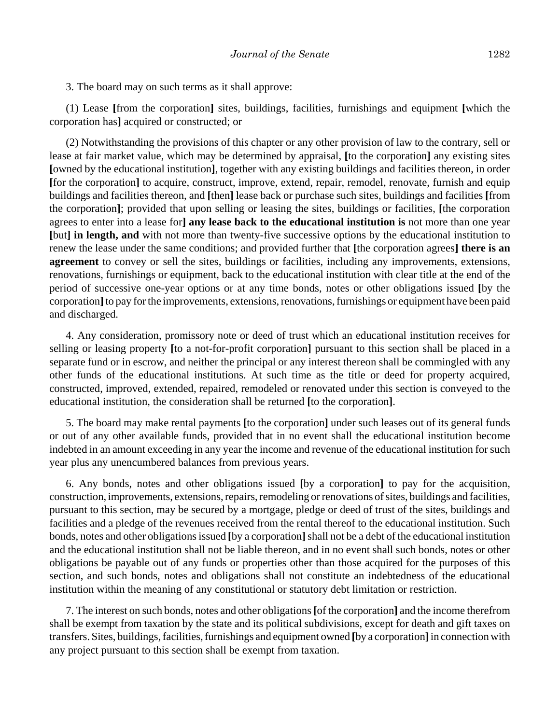3. The board may on such terms as it shall approve:

(1) Lease **[**from the corporation**]** sites, buildings, facilities, furnishings and equipment **[**which the corporation has**]** acquired or constructed; or

(2) Notwithstanding the provisions of this chapter or any other provision of law to the contrary, sell or lease at fair market value, which may be determined by appraisal, **[**to the corporation**]** any existing sites **[**owned by the educational institution**]**, together with any existing buildings and facilities thereon, in order **[**for the corporation**]** to acquire, construct, improve, extend, repair, remodel, renovate, furnish and equip buildings and facilities thereon, and **[**then**]** lease back or purchase such sites, buildings and facilities **[**from the corporation**]**; provided that upon selling or leasing the sites, buildings or facilities, **[**the corporation agrees to enter into a lease for**] any lease back to the educational institution is** not more than one year **[**but**] in length, and** with not more than twenty-five successive options by the educational institution to renew the lease under the same conditions; and provided further that **[**the corporation agrees**] there is an agreement** to convey or sell the sites, buildings or facilities, including any improvements, extensions, renovations, furnishings or equipment, back to the educational institution with clear title at the end of the period of successive one-year options or at any time bonds, notes or other obligations issued **[**by the corporation**]** to pay for the improvements, extensions, renovations, furnishings or equipment have been paid and discharged.

4. Any consideration, promissory note or deed of trust which an educational institution receives for selling or leasing property **[**to a not-for-profit corporation**]** pursuant to this section shall be placed in a separate fund or in escrow, and neither the principal or any interest thereon shall be commingled with any other funds of the educational institutions. At such time as the title or deed for property acquired, constructed, improved, extended, repaired, remodeled or renovated under this section is conveyed to the educational institution, the consideration shall be returned **[**to the corporation**]**.

5. The board may make rental payments **[**to the corporation**]** under such leases out of its general funds or out of any other available funds, provided that in no event shall the educational institution become indebted in an amount exceeding in any year the income and revenue of the educational institution for such year plus any unencumbered balances from previous years.

6. Any bonds, notes and other obligations issued **[**by a corporation**]** to pay for the acquisition, construction, improvements, extensions, repairs, remodeling or renovations of sites, buildings and facilities, pursuant to this section, may be secured by a mortgage, pledge or deed of trust of the sites, buildings and facilities and a pledge of the revenues received from the rental thereof to the educational institution. Such bonds, notes and other obligations issued **[**by a corporation**]** shall not be a debt of the educational institution and the educational institution shall not be liable thereon, and in no event shall such bonds, notes or other obligations be payable out of any funds or properties other than those acquired for the purposes of this section, and such bonds, notes and obligations shall not constitute an indebtedness of the educational institution within the meaning of any constitutional or statutory debt limitation or restriction.

7. The interest on such bonds, notes and other obligations **[**of the corporation**]** and the income therefrom shall be exempt from taxation by the state and its political subdivisions, except for death and gift taxes on transfers. Sites, buildings, facilities, furnishings and equipment owned **[**by a corporation**]** in connection with any project pursuant to this section shall be exempt from taxation.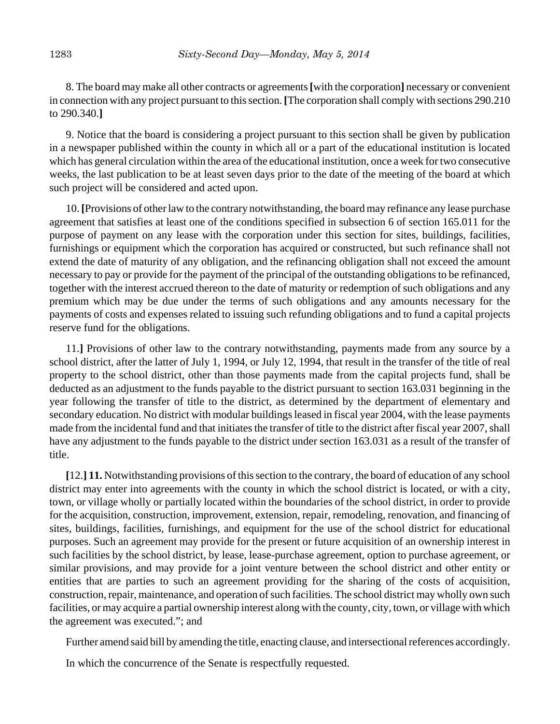8. The board may make all other contracts or agreements **[**with the corporation**]** necessary or convenient in connection with any project pursuant to this section. **[**The corporation shall comply with sections 290.210 to 290.340.**]**

9. Notice that the board is considering a project pursuant to this section shall be given by publication in a newspaper published within the county in which all or a part of the educational institution is located which has general circulation within the area of the educational institution, once a week for two consecutive weeks, the last publication to be at least seven days prior to the date of the meeting of the board at which such project will be considered and acted upon.

10. **[**Provisions of other law to the contrary notwithstanding, the board may refinance any lease purchase agreement that satisfies at least one of the conditions specified in subsection 6 of section 165.011 for the purpose of payment on any lease with the corporation under this section for sites, buildings, facilities, furnishings or equipment which the corporation has acquired or constructed, but such refinance shall not extend the date of maturity of any obligation, and the refinancing obligation shall not exceed the amount necessary to pay or provide for the payment of the principal of the outstanding obligations to be refinanced, together with the interest accrued thereon to the date of maturity or redemption of such obligations and any premium which may be due under the terms of such obligations and any amounts necessary for the payments of costs and expenses related to issuing such refunding obligations and to fund a capital projects reserve fund for the obligations.

11.**]** Provisions of other law to the contrary notwithstanding, payments made from any source by a school district, after the latter of July 1, 1994, or July 12, 1994, that result in the transfer of the title of real property to the school district, other than those payments made from the capital projects fund, shall be deducted as an adjustment to the funds payable to the district pursuant to section 163.031 beginning in the year following the transfer of title to the district, as determined by the department of elementary and secondary education. No district with modular buildings leased in fiscal year 2004, with the lease payments made from the incidental fund and that initiates the transfer of title to the district after fiscal year 2007, shall have any adjustment to the funds payable to the district under section 163.031 as a result of the transfer of title.

**[**12.**] 11.** Notwithstanding provisions of this section to the contrary, the board of education of any school district may enter into agreements with the county in which the school district is located, or with a city, town, or village wholly or partially located within the boundaries of the school district, in order to provide for the acquisition, construction, improvement, extension, repair, remodeling, renovation, and financing of sites, buildings, facilities, furnishings, and equipment for the use of the school district for educational purposes. Such an agreement may provide for the present or future acquisition of an ownership interest in such facilities by the school district, by lease, lease-purchase agreement, option to purchase agreement, or similar provisions, and may provide for a joint venture between the school district and other entity or entities that are parties to such an agreement providing for the sharing of the costs of acquisition, construction, repair, maintenance, and operation of such facilities. The school district may wholly own such facilities, or may acquire a partial ownership interest along with the county, city, town, or village with which the agreement was executed."; and

Further amend said bill by amending the title, enacting clause, and intersectional references accordingly.

In which the concurrence of the Senate is respectfully requested.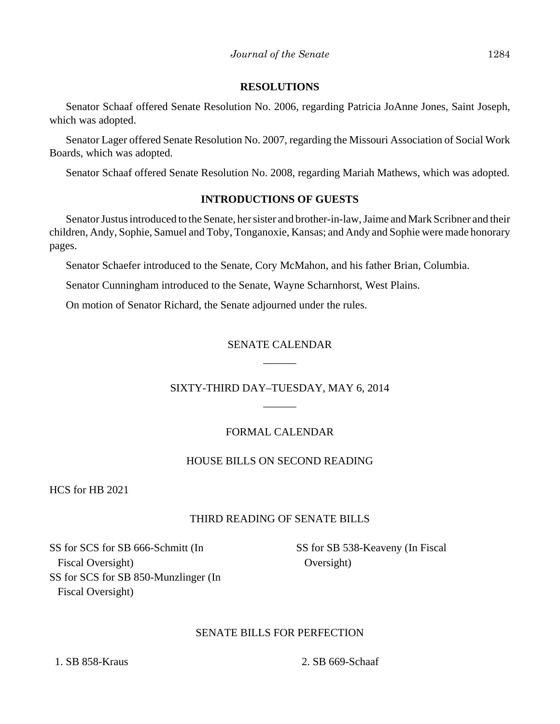### **RESOLUTIONS**

Senator Schaaf offered Senate Resolution No. 2006, regarding Patricia JoAnne Jones, Saint Joseph, which was adopted.

Senator Lager offered Senate Resolution No. 2007, regarding the Missouri Association of Social Work Boards, which was adopted.

Senator Schaaf offered Senate Resolution No. 2008, regarding Mariah Mathews, which was adopted.

## **INTRODUCTIONS OF GUESTS**

Senator Justus introduced to the Senate, her sister and brother-in-law, Jaime and Mark Scribner and their children, Andy, Sophie, Samuel and Toby, Tonganoxie, Kansas; and Andy and Sophie were made honorary pages.

Senator Schaefer introduced to the Senate, Cory McMahon, and his father Brian, Columbia.

Senator Cunningham introduced to the Senate, Wayne Scharnhorst, West Plains.

On motion of Senator Richard, the Senate adjourned under the rules.

# SENATE CALENDAR \_\_\_\_\_\_

# SIXTY-THIRD DAY–TUESDAY, MAY 6, 2014 \_\_\_\_\_\_

# FORMAL CALENDAR

# HOUSE BILLS ON SECOND READING

HCS for HB 2021

# THIRD READING OF SENATE BILLS

SS for SCS for SB 666-Schmitt (In Fiscal Oversight) SS for SCS for SB 850-Munzlinger (In Fiscal Oversight)

SS for SB 538-Keaveny (In Fiscal Oversight)

# SENATE BILLS FOR PERFECTION

1. SB 858-Kraus 2. SB 669-Schaaf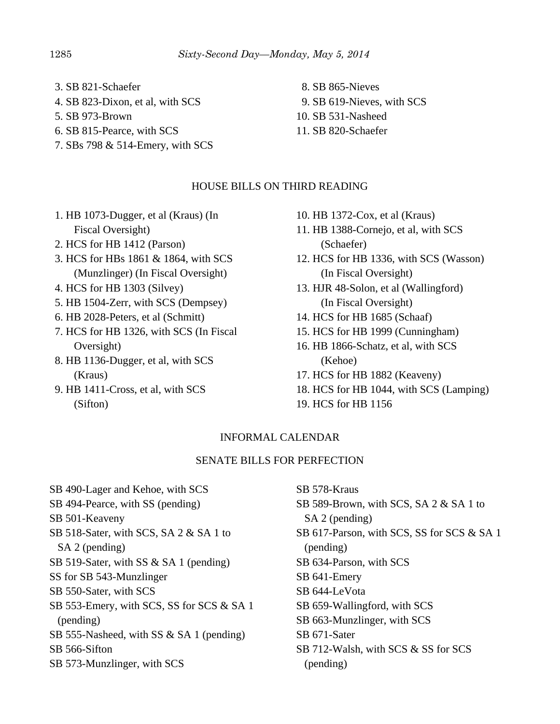- 3. SB 821-Schaefer
- 4. SB 823-Dixon, et al, with SCS
- 5. SB 973-Brown
- 6. SB 815-Pearce, with SCS
- 7. SBs 798 & 514-Emery, with SCS

# HOUSE BILLS ON THIRD READING

- 1. HB 1073-Dugger, et al (Kraus) (In Fiscal Oversight)
- 2. HCS for HB 1412 (Parson)
- 3. HCS for HBs 1861 & 1864, with SCS (Munzlinger) (In Fiscal Oversight)
- 4. HCS for HB 1303 (Silvey)
- 5. HB 1504-Zerr, with SCS (Dempsey)
- 6. HB 2028-Peters, et al (Schmitt)
- 7. HCS for HB 1326, with SCS (In Fiscal Oversight)
- 8. HB 1136-Dugger, et al, with SCS (Kraus)
- 9. HB 1411-Cross, et al, with SCS (Sifton)
- 10. HB 1372-Cox, et al (Kraus)
- 11. HB 1388-Cornejo, et al, with SCS (Schaefer)
- 12. HCS for HB 1336, with SCS (Wasson) (In Fiscal Oversight)
- 13. HJR 48-Solon, et al (Wallingford) (In Fiscal Oversight)
- 14. HCS for HB 1685 (Schaaf)
- 15. HCS for HB 1999 (Cunningham)
- 16. HB 1866-Schatz, et al, with SCS (Kehoe)
- 17. HCS for HB 1882 (Keaveny)
- 18. HCS for HB 1044, with SCS (Lamping)
- 19. HCS for HB 1156

# INFORMAL CALENDAR

## SENATE BILLS FOR PERFECTION

SB 490-Lager and Kehoe, with SCS SB 494-Pearce, with SS (pending) SB 501-Keaveny SB 518-Sater, with SCS, SA 2 & SA 1 to SA 2 (pending) SB 519-Sater, with SS & SA 1 (pending) SS for SB 543-Munzlinger SB 550-Sater, with SCS SB 553-Emery, with SCS, SS for SCS & SA 1 (pending) SB 555-Nasheed, with SS & SA 1 (pending) SB 566-Sifton SB 573-Munzlinger, with SCS

SB 578-Kraus SB 589-Brown, with SCS, SA 2 & SA 1 to SA 2 (pending) SB 617-Parson, with SCS, SS for SCS & SA 1 (pending) SB 634-Parson, with SCS SB 641-Emery SB 644-LeVota SB 659-Wallingford, with SCS SB 663-Munzlinger, with SCS SB 671-Sater SB 712-Walsh, with SCS & SS for SCS (pending)

- 8. SB 865-Nieves
- 9. SB 619-Nieves, with SCS
- 10. SB 531-Nasheed
- 11. SB 820-Schaefer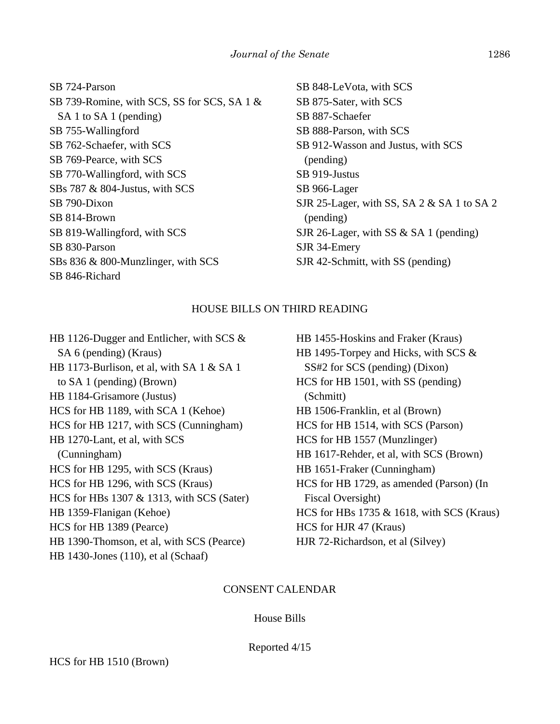| SB 724-Parson                               |
|---------------------------------------------|
| SB 739-Romine, with SCS, SS for SCS, SA 1 & |
| SA 1 to SA 1 (pending)                      |
| SB 755-Wallingford                          |
| SB 762-Schaefer, with SCS                   |
| SB 769-Pearce, with SCS                     |
| SB 770-Wallingford, with SCS                |
| SBs 787 & 804-Justus, with SCS              |
| SB 790-Dixon                                |
| SB 814-Brown                                |
| SB 819-Wallingford, with SCS                |
| SB 830-Parson                               |
| SBs 836 & 800-Munzlinger, with SCS          |
| SB 846-Richard                              |
|                                             |

SB 848-LeVota, with SCS SB 875-Sater, with SCS SB 887-Schaefer SB 888-Parson, with SCS SB 912-Wasson and Justus, with SCS (pending) SB 919-Justus SB 966-Lager SJR 25-Lager, with SS, SA 2 & SA 1 to SA 2 (pending) SJR 26-Lager, with SS & SA 1 (pending) SJR 34-Emery SJR 42-Schmitt, with SS (pending)

## HOUSE BILLS ON THIRD READING

HB 1126-Dugger and Entlicher, with SCS & SA 6 (pending) (Kraus) HB 1173-Burlison, et al, with SA 1 & SA 1 to SA 1 (pending) (Brown) HB 1184-Grisamore (Justus) HCS for HB 1189, with SCA 1 (Kehoe) HCS for HB 1217, with SCS (Cunningham) HB 1270-Lant, et al, with SCS (Cunningham) HCS for HB 1295, with SCS (Kraus) HCS for HB 1296, with SCS (Kraus) HCS for HBs 1307 & 1313, with SCS (Sater) HB 1359-Flanigan (Kehoe) HCS for HB 1389 (Pearce) HB 1390-Thomson, et al, with SCS (Pearce) HB 1430-Jones (110), et al (Schaaf)

HB 1455-Hoskins and Fraker (Kraus) HB 1495-Torpey and Hicks, with SCS & SS#2 for SCS (pending) (Dixon) HCS for HB 1501, with SS (pending) (Schmitt) HB 1506-Franklin, et al (Brown) HCS for HB 1514, with SCS (Parson) HCS for HB 1557 (Munzlinger) HB 1617-Rehder, et al, with SCS (Brown) HB 1651-Fraker (Cunningham) HCS for HB 1729, as amended (Parson) (In Fiscal Oversight) HCS for HBs 1735 & 1618, with SCS (Kraus) HCS for HJR 47 (Kraus) HJR 72-Richardson, et al (Silvey)

#### CONSENT CALENDAR

#### House Bills

Reported 4/15